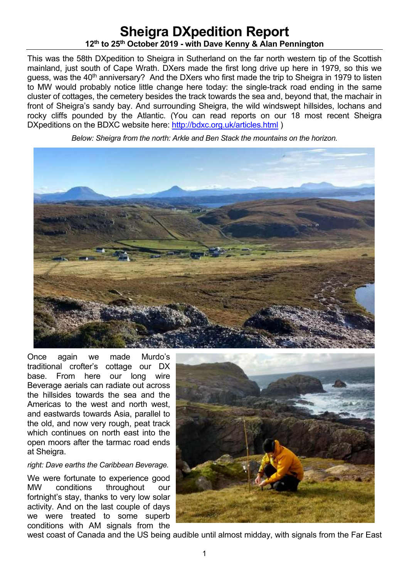# **Sheigra DXpedition Report 12th to 25th October 2019 - with Dave Kenny & Alan Pennington**

This was the 58th DXpedition to Sheigra in Sutherland on the far north western tip of the Scottish mainland, just south of Cape Wrath. DXers made the first long drive up here in 1979, so this we guess, was the 40<sup>th</sup> anniversary? And the DXers who first made the trip to Sheigra in 1979 to listen to MW would probably notice little change here today: the single-track road ending in the same cluster of cottages, the cemetery besides the track towards the sea and, beyond that, the machair in front of Sheigra's sandy bay. And surrounding Sheigra, the wild windswept hillsides, lochans and rocky cliffs pounded by the Atlantic. (You can read reports on our 18 most recent Sheigra DXpeditions on the BDXC website here: http://bdxc.org.uk/articles.html)

*Below: Sheigra from the north: Arkle and Ben Stack the mountains on the horizon.* 



Once again we made Murdo's traditional crofter's cottage our DX base. From here our long wire Beverage aerials can radiate out across the hillsides towards the sea and the Americas to the west and north west, and eastwards towards Asia, parallel to the old, and now very rough, peat track which continues on north east into the open moors after the tarmac road ends at Sheigra.

#### *right: Dave earths the Caribbean Beverage.*

We were fortunate to experience good MW conditions throughout our fortnight's stay, thanks to very low solar activity. And on the last couple of days we were treated to some superb conditions with AM signals from the



west coast of Canada and the US being audible until almost midday, with signals from the Far East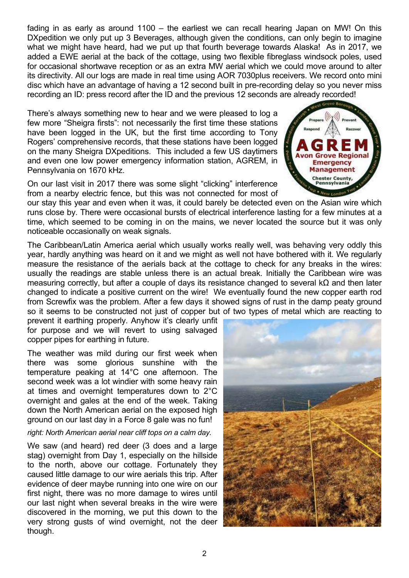fading in as early as around 1100 – the earliest we can recall hearing Japan on MW! On this DXpedition we only put up 3 Beverages, although given the conditions, can only begin to imagine what we might have heard, had we put up that fourth beverage towards Alaska! As in 2017, we added a EWE aerial at the back of the cottage, using two flexible fibreglass windsock poles, used for occasional shortwave reception or as an extra MW aerial which we could move around to alter its directivity. All our logs are made in real time using AOR 7030plus receivers. We record onto mini disc which have an advantage of having a 12 second built in pre-recording delay so you never miss recording an ID: press record after the ID and the previous 12 seconds are already recorded!

There's always something new to hear and we were pleased to log a few more "Sheigra firsts": not necessarily the first time these stations have been logged in the UK, but the first time according to Tony Rogers' comprehensive records, that these stations have been logged on the many Sheigra DXpeditions. This included a few US daytimers and even one low power emergency information station, AGREM, in Pennsylvania on 1670 kHz.

On our last visit in 2017 there was some slight "clicking" interference from a nearby electric fence, but this was not connected for most of

our stay this year and even when it was, it could barely be detected even on the Asian wire which runs close by. There were occasional bursts of electrical interference lasting for a few minutes at a time, which seemed to be coming in on the mains, we never located the source but it was only noticeable occasionally on weak signals.

The Caribbean/Latin America aerial which usually works really well, was behaving very oddly this year, hardly anything was heard on it and we might as well not have bothered with it. We regularly measure the resistance of the aerials back at the cottage to check for any breaks in the wires: usually the readings are stable unless there is an actual break. Initially the Caribbean wire was measuring correctly, but after a couple of days its resistance changed to several kΩ and then later changed to indicate a positive current on the wire! We eventually found the new copper earth rod from Screwfix was the problem. After a few days it showed signs of rust in the damp peaty ground so it seems to be constructed not just of copper but of two types of metal which are reacting to

prevent it earthing properly. Anyhow it's clearly unfit for purpose and we will revert to using salvaged copper pipes for earthing in future.

The weather was mild during our first week when there was some glorious sunshine with the temperature peaking at 14°C one afternoon. The second week was a lot windier with some heavy rain at times and overnight temperatures down to 2°C overnight and gales at the end of the week. Taking down the North American aerial on the exposed high ground on our last day in a Force 8 gale was no fun!

#### *right: North American aerial near cliff tops on a calm day.*

We saw (and heard) red deer (3 does and a large stag) overnight from Day 1, especially on the hillside to the north, above our cottage. Fortunately they caused little damage to our wire aerials this trip. After evidence of deer maybe running into one wire on our first night, there was no more damage to wires until our last night when several breaks in the wire were discovered in the morning, we put this down to the very strong gusts of wind overnight, not the deer though.



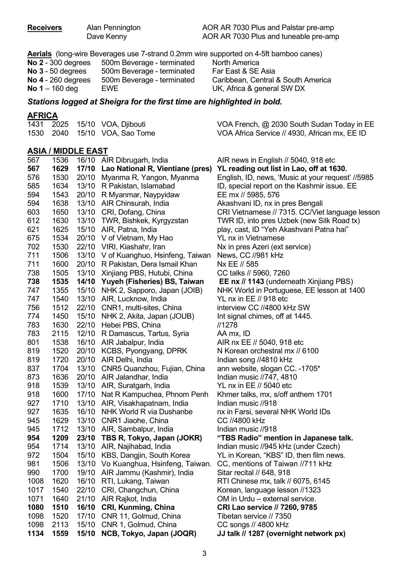**Receivers** Alan Pennington AOR AR 7030 Plus and Palstar pre-amp Dave Kenny **AOR AR 7030 Plus and tuneable pre-amp** 

**Aerials** (long-wire Beverages use 7-strand 0.2mm wire supported on 4-5ft bamboo canes)

| <b>No 2</b> - 300 degrees | 500m Beverage - terminated |
|---------------------------|----------------------------|
| <b>No 3</b> - 50 degrees  | 500m Beverage - terminated |
| No $4 - 260$ degrees      | 500m Beverage - terminated |
| <b>No 1</b> – 160 deg     | EWE                        |

**North America Far East & SE Asia Caribbean, Central & South America** UK, Africa & general SW DX

#### *Stations logged at Sheigra for the first time are highlighted in bold.*

#### **AFRICA**

|  | 1431 2025 15/10 VOA, Djibouti | VOA French, @ 2030 South Sudan Today in EE    |
|--|-------------------------------|-----------------------------------------------|
|  | 1530 2040 15/10 VOA, Sao Tome | VOA Africa Service // 4930, African mx, EE ID |

#### **ASIA / MIDDLE EAST**

| 567<br>1629<br>17/10 Lao National R, Vientiane (pres)<br>YL reading out list in Lao, off at 1630.<br>576<br>1530<br>20/10 Myanma R, Yangon, Myanma<br>English, ID, news, 'Music at your request' //5985<br>585<br>1634<br>13/10 R Pakistan, Islamabad<br>ID, special report on the Kashmir issue. EE<br>594<br>1543<br>20/10 R Myanmar, Naypyidaw<br>EE mx // 5985, 576<br>594<br>1638<br>13/10 AIR Chinsurah, India<br>Akashvani ID, nx in pres Bengali<br>603<br>1650<br>13/10 CRI, Dofang, China<br>CRI Vietnamese // 7315. CC/Viet language lesson<br>612<br>1630<br>13/10 TWR, Bishkek, Kyrgyzstan<br>TWR ID, into pres Uzbek (new Silk Road tx)<br>621<br>1625<br>15/10 AIR, Patna, India<br>play, cast, ID "Yeh Akashvani Patna hai"<br>675<br>1534<br>20/10 V of Vietnam, My Hao<br>YL nx in Vietnamese<br>702<br>1530<br>22/10 VIRI, Kiashahr, Iran<br>Nx in pres Azeri (ext service)<br>711<br>1506<br>13/10 V of Kuanghuo, Hsinfeng, Taiwan<br>News, CC //981 kHz<br>711<br>1600<br>20/10 R Pakistan, Dera Ismail Khan<br>Nx EE // 585<br>738<br>13/10 Xinjiang PBS, Hutubi, China<br>1505<br>CC talks // 5960, 7260<br>738<br>1535<br>14/10 Yuyeh (Fisheries) BS, Taiwan<br><b>EE nx // 1143</b> (underneath Xinjiang PBS)<br>747<br>1355<br>15/10 NHK 2, Sapporo, Japan (JOIB)<br>NHK World in Portuguese, EE lesson at 1400<br>747<br>13/10 AIR, Lucknow, India<br>1540<br>YL nx in EE // 918 etc<br>756<br>1512<br>22/10 CNR1, multi-sites, China<br>interview CC //4800 kHz SW<br>774<br>1450<br>15/10 NHK 2, Akita, Japan (JOUB)<br>Int signal chimes, off at 1445.<br>783<br>22/10 Hebei PBS, China<br>//1278<br>1630<br>783<br>2115<br>12/10 R Damascus, Tartus, Syria<br>AA mx, ID<br>801<br>1538<br>16/10 AIR Jabalpur, India<br>AIR nx EE // 5040, 918 etc<br>819<br>1520<br>20/10 KCBS, Pyongyang, DPRK<br>N Korean orchestral mx // 6100<br>819<br>20/10 AIR Delhi, India<br>1720<br>Indian song //4810 kHz<br>837<br>13/10 CNR5 Quanzhou, Fujian, China<br>1704<br>ann website, slogan CC. -1705*<br>873<br>1636<br>20/10 AIR Jalandhar, India<br>Indian music //747, 4810<br>918<br>1539<br>13/10 AIR, Suratgarh, India<br>YL nx in EE // 5040 etc<br>918<br>1600<br>17/10 Nat R Kampuchea, Phnom Penh<br>Khmer talks, mx, s/off anthem 1701<br>927<br>13/10 AIR, Visakhapatnam, India<br>1710<br>Indian music //918<br>927<br>1635<br>16/10 NHK World R via Dushanbe<br>nx in Farsi, several NHK World IDs<br>945<br>1629<br>13/10 CNR1 Jiaohe, China<br>CC //4800 kHz<br>945<br>13/10 AIR, Sambalpur, India<br>1712<br>Indian music //918<br>954<br>1209<br>23/10 TBS R, Tokyo, Japan (JOKR)<br>"TBS Radio" mention in Japanese talk.<br>954<br>13/10 AIR, Najihabad, India<br>1714<br>Indian music //945 kHz (under Czech)<br>972<br>1504<br>15/10 KBS, Dangjin, South Korea<br>YL in Korean, "KBS" ID, then film news.<br>981<br>1506<br>13/10 Vo Kuanghua, Hsinfeng, Taiwan.<br>CC, mentions of Taiwan //711 kHz<br>19/10 AIR Jammu (Kashmir), India<br>990<br>Sitar recital // 648, 918<br>1700<br>1620<br>16/10 RTI, Lukang, Taiwan<br>RTI Chinese mx, talk // 6075, 6145<br>1008<br>1017<br>22/10 CRI, Changchun, China<br>1540<br>Korean, language lesson //1323<br>1071<br>21/10 AIR Rajkot, India<br>1640<br>OM in Urdu - external service.<br>1080<br>16/10 CRI, Kunming, China<br>1510<br><b>CRI Lao service // 7260, 9785</b><br>1098<br>17/10<br>CNR 11, Golmud, China<br>1520<br>Tibetan service // 7350<br>1098<br>2113<br>15/10<br>CNR 1, Golmud, China<br>CC songs // 4800 kHz<br>1134<br>15/10<br>NCB, Tokyo, Japan (JOQR)<br>1559<br>JJ talk // 1287 (overnight network px) | 567 | 1536 | 16/10 AIR Dibrugarh, India | AIR news in English // 5040, 918 etc |
|----------------------------------------------------------------------------------------------------------------------------------------------------------------------------------------------------------------------------------------------------------------------------------------------------------------------------------------------------------------------------------------------------------------------------------------------------------------------------------------------------------------------------------------------------------------------------------------------------------------------------------------------------------------------------------------------------------------------------------------------------------------------------------------------------------------------------------------------------------------------------------------------------------------------------------------------------------------------------------------------------------------------------------------------------------------------------------------------------------------------------------------------------------------------------------------------------------------------------------------------------------------------------------------------------------------------------------------------------------------------------------------------------------------------------------------------------------------------------------------------------------------------------------------------------------------------------------------------------------------------------------------------------------------------------------------------------------------------------------------------------------------------------------------------------------------------------------------------------------------------------------------------------------------------------------------------------------------------------------------------------------------------------------------------------------------------------------------------------------------------------------------------------------------------------------------------------------------------------------------------------------------------------------------------------------------------------------------------------------------------------------------------------------------------------------------------------------------------------------------------------------------------------------------------------------------------------------------------------------------------------------------------------------------------------------------------------------------------------------------------------------------------------------------------------------------------------------------------------------------------------------------------------------------------------------------------------------------------------------------------------------------------------------------------------------------------------------------------------------------------------------------------------------------------------------------------------------------------------------------------------------------------------------------------------------------------------------------------------------------------------------------------------------------------------------------------------------------------------------------------------------------------------------------------------------------------------------------------------------------------------|-----|------|----------------------------|--------------------------------------|
|                                                                                                                                                                                                                                                                                                                                                                                                                                                                                                                                                                                                                                                                                                                                                                                                                                                                                                                                                                                                                                                                                                                                                                                                                                                                                                                                                                                                                                                                                                                                                                                                                                                                                                                                                                                                                                                                                                                                                                                                                                                                                                                                                                                                                                                                                                                                                                                                                                                                                                                                                                                                                                                                                                                                                                                                                                                                                                                                                                                                                                                                                                                                                                                                                                                                                                                                                                                                                                                                                                                                                                                                                            |     |      |                            |                                      |
|                                                                                                                                                                                                                                                                                                                                                                                                                                                                                                                                                                                                                                                                                                                                                                                                                                                                                                                                                                                                                                                                                                                                                                                                                                                                                                                                                                                                                                                                                                                                                                                                                                                                                                                                                                                                                                                                                                                                                                                                                                                                                                                                                                                                                                                                                                                                                                                                                                                                                                                                                                                                                                                                                                                                                                                                                                                                                                                                                                                                                                                                                                                                                                                                                                                                                                                                                                                                                                                                                                                                                                                                                            |     |      |                            |                                      |
|                                                                                                                                                                                                                                                                                                                                                                                                                                                                                                                                                                                                                                                                                                                                                                                                                                                                                                                                                                                                                                                                                                                                                                                                                                                                                                                                                                                                                                                                                                                                                                                                                                                                                                                                                                                                                                                                                                                                                                                                                                                                                                                                                                                                                                                                                                                                                                                                                                                                                                                                                                                                                                                                                                                                                                                                                                                                                                                                                                                                                                                                                                                                                                                                                                                                                                                                                                                                                                                                                                                                                                                                                            |     |      |                            |                                      |
|                                                                                                                                                                                                                                                                                                                                                                                                                                                                                                                                                                                                                                                                                                                                                                                                                                                                                                                                                                                                                                                                                                                                                                                                                                                                                                                                                                                                                                                                                                                                                                                                                                                                                                                                                                                                                                                                                                                                                                                                                                                                                                                                                                                                                                                                                                                                                                                                                                                                                                                                                                                                                                                                                                                                                                                                                                                                                                                                                                                                                                                                                                                                                                                                                                                                                                                                                                                                                                                                                                                                                                                                                            |     |      |                            |                                      |
|                                                                                                                                                                                                                                                                                                                                                                                                                                                                                                                                                                                                                                                                                                                                                                                                                                                                                                                                                                                                                                                                                                                                                                                                                                                                                                                                                                                                                                                                                                                                                                                                                                                                                                                                                                                                                                                                                                                                                                                                                                                                                                                                                                                                                                                                                                                                                                                                                                                                                                                                                                                                                                                                                                                                                                                                                                                                                                                                                                                                                                                                                                                                                                                                                                                                                                                                                                                                                                                                                                                                                                                                                            |     |      |                            |                                      |
|                                                                                                                                                                                                                                                                                                                                                                                                                                                                                                                                                                                                                                                                                                                                                                                                                                                                                                                                                                                                                                                                                                                                                                                                                                                                                                                                                                                                                                                                                                                                                                                                                                                                                                                                                                                                                                                                                                                                                                                                                                                                                                                                                                                                                                                                                                                                                                                                                                                                                                                                                                                                                                                                                                                                                                                                                                                                                                                                                                                                                                                                                                                                                                                                                                                                                                                                                                                                                                                                                                                                                                                                                            |     |      |                            |                                      |
|                                                                                                                                                                                                                                                                                                                                                                                                                                                                                                                                                                                                                                                                                                                                                                                                                                                                                                                                                                                                                                                                                                                                                                                                                                                                                                                                                                                                                                                                                                                                                                                                                                                                                                                                                                                                                                                                                                                                                                                                                                                                                                                                                                                                                                                                                                                                                                                                                                                                                                                                                                                                                                                                                                                                                                                                                                                                                                                                                                                                                                                                                                                                                                                                                                                                                                                                                                                                                                                                                                                                                                                                                            |     |      |                            |                                      |
|                                                                                                                                                                                                                                                                                                                                                                                                                                                                                                                                                                                                                                                                                                                                                                                                                                                                                                                                                                                                                                                                                                                                                                                                                                                                                                                                                                                                                                                                                                                                                                                                                                                                                                                                                                                                                                                                                                                                                                                                                                                                                                                                                                                                                                                                                                                                                                                                                                                                                                                                                                                                                                                                                                                                                                                                                                                                                                                                                                                                                                                                                                                                                                                                                                                                                                                                                                                                                                                                                                                                                                                                                            |     |      |                            |                                      |
|                                                                                                                                                                                                                                                                                                                                                                                                                                                                                                                                                                                                                                                                                                                                                                                                                                                                                                                                                                                                                                                                                                                                                                                                                                                                                                                                                                                                                                                                                                                                                                                                                                                                                                                                                                                                                                                                                                                                                                                                                                                                                                                                                                                                                                                                                                                                                                                                                                                                                                                                                                                                                                                                                                                                                                                                                                                                                                                                                                                                                                                                                                                                                                                                                                                                                                                                                                                                                                                                                                                                                                                                                            |     |      |                            |                                      |
|                                                                                                                                                                                                                                                                                                                                                                                                                                                                                                                                                                                                                                                                                                                                                                                                                                                                                                                                                                                                                                                                                                                                                                                                                                                                                                                                                                                                                                                                                                                                                                                                                                                                                                                                                                                                                                                                                                                                                                                                                                                                                                                                                                                                                                                                                                                                                                                                                                                                                                                                                                                                                                                                                                                                                                                                                                                                                                                                                                                                                                                                                                                                                                                                                                                                                                                                                                                                                                                                                                                                                                                                                            |     |      |                            |                                      |
|                                                                                                                                                                                                                                                                                                                                                                                                                                                                                                                                                                                                                                                                                                                                                                                                                                                                                                                                                                                                                                                                                                                                                                                                                                                                                                                                                                                                                                                                                                                                                                                                                                                                                                                                                                                                                                                                                                                                                                                                                                                                                                                                                                                                                                                                                                                                                                                                                                                                                                                                                                                                                                                                                                                                                                                                                                                                                                                                                                                                                                                                                                                                                                                                                                                                                                                                                                                                                                                                                                                                                                                                                            |     |      |                            |                                      |
|                                                                                                                                                                                                                                                                                                                                                                                                                                                                                                                                                                                                                                                                                                                                                                                                                                                                                                                                                                                                                                                                                                                                                                                                                                                                                                                                                                                                                                                                                                                                                                                                                                                                                                                                                                                                                                                                                                                                                                                                                                                                                                                                                                                                                                                                                                                                                                                                                                                                                                                                                                                                                                                                                                                                                                                                                                                                                                                                                                                                                                                                                                                                                                                                                                                                                                                                                                                                                                                                                                                                                                                                                            |     |      |                            |                                      |
|                                                                                                                                                                                                                                                                                                                                                                                                                                                                                                                                                                                                                                                                                                                                                                                                                                                                                                                                                                                                                                                                                                                                                                                                                                                                                                                                                                                                                                                                                                                                                                                                                                                                                                                                                                                                                                                                                                                                                                                                                                                                                                                                                                                                                                                                                                                                                                                                                                                                                                                                                                                                                                                                                                                                                                                                                                                                                                                                                                                                                                                                                                                                                                                                                                                                                                                                                                                                                                                                                                                                                                                                                            |     |      |                            |                                      |
|                                                                                                                                                                                                                                                                                                                                                                                                                                                                                                                                                                                                                                                                                                                                                                                                                                                                                                                                                                                                                                                                                                                                                                                                                                                                                                                                                                                                                                                                                                                                                                                                                                                                                                                                                                                                                                                                                                                                                                                                                                                                                                                                                                                                                                                                                                                                                                                                                                                                                                                                                                                                                                                                                                                                                                                                                                                                                                                                                                                                                                                                                                                                                                                                                                                                                                                                                                                                                                                                                                                                                                                                                            |     |      |                            |                                      |
|                                                                                                                                                                                                                                                                                                                                                                                                                                                                                                                                                                                                                                                                                                                                                                                                                                                                                                                                                                                                                                                                                                                                                                                                                                                                                                                                                                                                                                                                                                                                                                                                                                                                                                                                                                                                                                                                                                                                                                                                                                                                                                                                                                                                                                                                                                                                                                                                                                                                                                                                                                                                                                                                                                                                                                                                                                                                                                                                                                                                                                                                                                                                                                                                                                                                                                                                                                                                                                                                                                                                                                                                                            |     |      |                            |                                      |
|                                                                                                                                                                                                                                                                                                                                                                                                                                                                                                                                                                                                                                                                                                                                                                                                                                                                                                                                                                                                                                                                                                                                                                                                                                                                                                                                                                                                                                                                                                                                                                                                                                                                                                                                                                                                                                                                                                                                                                                                                                                                                                                                                                                                                                                                                                                                                                                                                                                                                                                                                                                                                                                                                                                                                                                                                                                                                                                                                                                                                                                                                                                                                                                                                                                                                                                                                                                                                                                                                                                                                                                                                            |     |      |                            |                                      |
|                                                                                                                                                                                                                                                                                                                                                                                                                                                                                                                                                                                                                                                                                                                                                                                                                                                                                                                                                                                                                                                                                                                                                                                                                                                                                                                                                                                                                                                                                                                                                                                                                                                                                                                                                                                                                                                                                                                                                                                                                                                                                                                                                                                                                                                                                                                                                                                                                                                                                                                                                                                                                                                                                                                                                                                                                                                                                                                                                                                                                                                                                                                                                                                                                                                                                                                                                                                                                                                                                                                                                                                                                            |     |      |                            |                                      |
|                                                                                                                                                                                                                                                                                                                                                                                                                                                                                                                                                                                                                                                                                                                                                                                                                                                                                                                                                                                                                                                                                                                                                                                                                                                                                                                                                                                                                                                                                                                                                                                                                                                                                                                                                                                                                                                                                                                                                                                                                                                                                                                                                                                                                                                                                                                                                                                                                                                                                                                                                                                                                                                                                                                                                                                                                                                                                                                                                                                                                                                                                                                                                                                                                                                                                                                                                                                                                                                                                                                                                                                                                            |     |      |                            |                                      |
|                                                                                                                                                                                                                                                                                                                                                                                                                                                                                                                                                                                                                                                                                                                                                                                                                                                                                                                                                                                                                                                                                                                                                                                                                                                                                                                                                                                                                                                                                                                                                                                                                                                                                                                                                                                                                                                                                                                                                                                                                                                                                                                                                                                                                                                                                                                                                                                                                                                                                                                                                                                                                                                                                                                                                                                                                                                                                                                                                                                                                                                                                                                                                                                                                                                                                                                                                                                                                                                                                                                                                                                                                            |     |      |                            |                                      |
|                                                                                                                                                                                                                                                                                                                                                                                                                                                                                                                                                                                                                                                                                                                                                                                                                                                                                                                                                                                                                                                                                                                                                                                                                                                                                                                                                                                                                                                                                                                                                                                                                                                                                                                                                                                                                                                                                                                                                                                                                                                                                                                                                                                                                                                                                                                                                                                                                                                                                                                                                                                                                                                                                                                                                                                                                                                                                                                                                                                                                                                                                                                                                                                                                                                                                                                                                                                                                                                                                                                                                                                                                            |     |      |                            |                                      |
|                                                                                                                                                                                                                                                                                                                                                                                                                                                                                                                                                                                                                                                                                                                                                                                                                                                                                                                                                                                                                                                                                                                                                                                                                                                                                                                                                                                                                                                                                                                                                                                                                                                                                                                                                                                                                                                                                                                                                                                                                                                                                                                                                                                                                                                                                                                                                                                                                                                                                                                                                                                                                                                                                                                                                                                                                                                                                                                                                                                                                                                                                                                                                                                                                                                                                                                                                                                                                                                                                                                                                                                                                            |     |      |                            |                                      |
|                                                                                                                                                                                                                                                                                                                                                                                                                                                                                                                                                                                                                                                                                                                                                                                                                                                                                                                                                                                                                                                                                                                                                                                                                                                                                                                                                                                                                                                                                                                                                                                                                                                                                                                                                                                                                                                                                                                                                                                                                                                                                                                                                                                                                                                                                                                                                                                                                                                                                                                                                                                                                                                                                                                                                                                                                                                                                                                                                                                                                                                                                                                                                                                                                                                                                                                                                                                                                                                                                                                                                                                                                            |     |      |                            |                                      |
|                                                                                                                                                                                                                                                                                                                                                                                                                                                                                                                                                                                                                                                                                                                                                                                                                                                                                                                                                                                                                                                                                                                                                                                                                                                                                                                                                                                                                                                                                                                                                                                                                                                                                                                                                                                                                                                                                                                                                                                                                                                                                                                                                                                                                                                                                                                                                                                                                                                                                                                                                                                                                                                                                                                                                                                                                                                                                                                                                                                                                                                                                                                                                                                                                                                                                                                                                                                                                                                                                                                                                                                                                            |     |      |                            |                                      |
|                                                                                                                                                                                                                                                                                                                                                                                                                                                                                                                                                                                                                                                                                                                                                                                                                                                                                                                                                                                                                                                                                                                                                                                                                                                                                                                                                                                                                                                                                                                                                                                                                                                                                                                                                                                                                                                                                                                                                                                                                                                                                                                                                                                                                                                                                                                                                                                                                                                                                                                                                                                                                                                                                                                                                                                                                                                                                                                                                                                                                                                                                                                                                                                                                                                                                                                                                                                                                                                                                                                                                                                                                            |     |      |                            |                                      |
|                                                                                                                                                                                                                                                                                                                                                                                                                                                                                                                                                                                                                                                                                                                                                                                                                                                                                                                                                                                                                                                                                                                                                                                                                                                                                                                                                                                                                                                                                                                                                                                                                                                                                                                                                                                                                                                                                                                                                                                                                                                                                                                                                                                                                                                                                                                                                                                                                                                                                                                                                                                                                                                                                                                                                                                                                                                                                                                                                                                                                                                                                                                                                                                                                                                                                                                                                                                                                                                                                                                                                                                                                            |     |      |                            |                                      |
|                                                                                                                                                                                                                                                                                                                                                                                                                                                                                                                                                                                                                                                                                                                                                                                                                                                                                                                                                                                                                                                                                                                                                                                                                                                                                                                                                                                                                                                                                                                                                                                                                                                                                                                                                                                                                                                                                                                                                                                                                                                                                                                                                                                                                                                                                                                                                                                                                                                                                                                                                                                                                                                                                                                                                                                                                                                                                                                                                                                                                                                                                                                                                                                                                                                                                                                                                                                                                                                                                                                                                                                                                            |     |      |                            |                                      |
|                                                                                                                                                                                                                                                                                                                                                                                                                                                                                                                                                                                                                                                                                                                                                                                                                                                                                                                                                                                                                                                                                                                                                                                                                                                                                                                                                                                                                                                                                                                                                                                                                                                                                                                                                                                                                                                                                                                                                                                                                                                                                                                                                                                                                                                                                                                                                                                                                                                                                                                                                                                                                                                                                                                                                                                                                                                                                                                                                                                                                                                                                                                                                                                                                                                                                                                                                                                                                                                                                                                                                                                                                            |     |      |                            |                                      |
|                                                                                                                                                                                                                                                                                                                                                                                                                                                                                                                                                                                                                                                                                                                                                                                                                                                                                                                                                                                                                                                                                                                                                                                                                                                                                                                                                                                                                                                                                                                                                                                                                                                                                                                                                                                                                                                                                                                                                                                                                                                                                                                                                                                                                                                                                                                                                                                                                                                                                                                                                                                                                                                                                                                                                                                                                                                                                                                                                                                                                                                                                                                                                                                                                                                                                                                                                                                                                                                                                                                                                                                                                            |     |      |                            |                                      |
|                                                                                                                                                                                                                                                                                                                                                                                                                                                                                                                                                                                                                                                                                                                                                                                                                                                                                                                                                                                                                                                                                                                                                                                                                                                                                                                                                                                                                                                                                                                                                                                                                                                                                                                                                                                                                                                                                                                                                                                                                                                                                                                                                                                                                                                                                                                                                                                                                                                                                                                                                                                                                                                                                                                                                                                                                                                                                                                                                                                                                                                                                                                                                                                                                                                                                                                                                                                                                                                                                                                                                                                                                            |     |      |                            |                                      |
|                                                                                                                                                                                                                                                                                                                                                                                                                                                                                                                                                                                                                                                                                                                                                                                                                                                                                                                                                                                                                                                                                                                                                                                                                                                                                                                                                                                                                                                                                                                                                                                                                                                                                                                                                                                                                                                                                                                                                                                                                                                                                                                                                                                                                                                                                                                                                                                                                                                                                                                                                                                                                                                                                                                                                                                                                                                                                                                                                                                                                                                                                                                                                                                                                                                                                                                                                                                                                                                                                                                                                                                                                            |     |      |                            |                                      |
|                                                                                                                                                                                                                                                                                                                                                                                                                                                                                                                                                                                                                                                                                                                                                                                                                                                                                                                                                                                                                                                                                                                                                                                                                                                                                                                                                                                                                                                                                                                                                                                                                                                                                                                                                                                                                                                                                                                                                                                                                                                                                                                                                                                                                                                                                                                                                                                                                                                                                                                                                                                                                                                                                                                                                                                                                                                                                                                                                                                                                                                                                                                                                                                                                                                                                                                                                                                                                                                                                                                                                                                                                            |     |      |                            |                                      |
|                                                                                                                                                                                                                                                                                                                                                                                                                                                                                                                                                                                                                                                                                                                                                                                                                                                                                                                                                                                                                                                                                                                                                                                                                                                                                                                                                                                                                                                                                                                                                                                                                                                                                                                                                                                                                                                                                                                                                                                                                                                                                                                                                                                                                                                                                                                                                                                                                                                                                                                                                                                                                                                                                                                                                                                                                                                                                                                                                                                                                                                                                                                                                                                                                                                                                                                                                                                                                                                                                                                                                                                                                            |     |      |                            |                                      |
|                                                                                                                                                                                                                                                                                                                                                                                                                                                                                                                                                                                                                                                                                                                                                                                                                                                                                                                                                                                                                                                                                                                                                                                                                                                                                                                                                                                                                                                                                                                                                                                                                                                                                                                                                                                                                                                                                                                                                                                                                                                                                                                                                                                                                                                                                                                                                                                                                                                                                                                                                                                                                                                                                                                                                                                                                                                                                                                                                                                                                                                                                                                                                                                                                                                                                                                                                                                                                                                                                                                                                                                                                            |     |      |                            |                                      |
|                                                                                                                                                                                                                                                                                                                                                                                                                                                                                                                                                                                                                                                                                                                                                                                                                                                                                                                                                                                                                                                                                                                                                                                                                                                                                                                                                                                                                                                                                                                                                                                                                                                                                                                                                                                                                                                                                                                                                                                                                                                                                                                                                                                                                                                                                                                                                                                                                                                                                                                                                                                                                                                                                                                                                                                                                                                                                                                                                                                                                                                                                                                                                                                                                                                                                                                                                                                                                                                                                                                                                                                                                            |     |      |                            |                                      |
|                                                                                                                                                                                                                                                                                                                                                                                                                                                                                                                                                                                                                                                                                                                                                                                                                                                                                                                                                                                                                                                                                                                                                                                                                                                                                                                                                                                                                                                                                                                                                                                                                                                                                                                                                                                                                                                                                                                                                                                                                                                                                                                                                                                                                                                                                                                                                                                                                                                                                                                                                                                                                                                                                                                                                                                                                                                                                                                                                                                                                                                                                                                                                                                                                                                                                                                                                                                                                                                                                                                                                                                                                            |     |      |                            |                                      |
|                                                                                                                                                                                                                                                                                                                                                                                                                                                                                                                                                                                                                                                                                                                                                                                                                                                                                                                                                                                                                                                                                                                                                                                                                                                                                                                                                                                                                                                                                                                                                                                                                                                                                                                                                                                                                                                                                                                                                                                                                                                                                                                                                                                                                                                                                                                                                                                                                                                                                                                                                                                                                                                                                                                                                                                                                                                                                                                                                                                                                                                                                                                                                                                                                                                                                                                                                                                                                                                                                                                                                                                                                            |     |      |                            |                                      |
|                                                                                                                                                                                                                                                                                                                                                                                                                                                                                                                                                                                                                                                                                                                                                                                                                                                                                                                                                                                                                                                                                                                                                                                                                                                                                                                                                                                                                                                                                                                                                                                                                                                                                                                                                                                                                                                                                                                                                                                                                                                                                                                                                                                                                                                                                                                                                                                                                                                                                                                                                                                                                                                                                                                                                                                                                                                                                                                                                                                                                                                                                                                                                                                                                                                                                                                                                                                                                                                                                                                                                                                                                            |     |      |                            |                                      |
|                                                                                                                                                                                                                                                                                                                                                                                                                                                                                                                                                                                                                                                                                                                                                                                                                                                                                                                                                                                                                                                                                                                                                                                                                                                                                                                                                                                                                                                                                                                                                                                                                                                                                                                                                                                                                                                                                                                                                                                                                                                                                                                                                                                                                                                                                                                                                                                                                                                                                                                                                                                                                                                                                                                                                                                                                                                                                                                                                                                                                                                                                                                                                                                                                                                                                                                                                                                                                                                                                                                                                                                                                            |     |      |                            |                                      |
|                                                                                                                                                                                                                                                                                                                                                                                                                                                                                                                                                                                                                                                                                                                                                                                                                                                                                                                                                                                                                                                                                                                                                                                                                                                                                                                                                                                                                                                                                                                                                                                                                                                                                                                                                                                                                                                                                                                                                                                                                                                                                                                                                                                                                                                                                                                                                                                                                                                                                                                                                                                                                                                                                                                                                                                                                                                                                                                                                                                                                                                                                                                                                                                                                                                                                                                                                                                                                                                                                                                                                                                                                            |     |      |                            |                                      |
|                                                                                                                                                                                                                                                                                                                                                                                                                                                                                                                                                                                                                                                                                                                                                                                                                                                                                                                                                                                                                                                                                                                                                                                                                                                                                                                                                                                                                                                                                                                                                                                                                                                                                                                                                                                                                                                                                                                                                                                                                                                                                                                                                                                                                                                                                                                                                                                                                                                                                                                                                                                                                                                                                                                                                                                                                                                                                                                                                                                                                                                                                                                                                                                                                                                                                                                                                                                                                                                                                                                                                                                                                            |     |      |                            |                                      |
|                                                                                                                                                                                                                                                                                                                                                                                                                                                                                                                                                                                                                                                                                                                                                                                                                                                                                                                                                                                                                                                                                                                                                                                                                                                                                                                                                                                                                                                                                                                                                                                                                                                                                                                                                                                                                                                                                                                                                                                                                                                                                                                                                                                                                                                                                                                                                                                                                                                                                                                                                                                                                                                                                                                                                                                                                                                                                                                                                                                                                                                                                                                                                                                                                                                                                                                                                                                                                                                                                                                                                                                                                            |     |      |                            |                                      |
|                                                                                                                                                                                                                                                                                                                                                                                                                                                                                                                                                                                                                                                                                                                                                                                                                                                                                                                                                                                                                                                                                                                                                                                                                                                                                                                                                                                                                                                                                                                                                                                                                                                                                                                                                                                                                                                                                                                                                                                                                                                                                                                                                                                                                                                                                                                                                                                                                                                                                                                                                                                                                                                                                                                                                                                                                                                                                                                                                                                                                                                                                                                                                                                                                                                                                                                                                                                                                                                                                                                                                                                                                            |     |      |                            |                                      |
|                                                                                                                                                                                                                                                                                                                                                                                                                                                                                                                                                                                                                                                                                                                                                                                                                                                                                                                                                                                                                                                                                                                                                                                                                                                                                                                                                                                                                                                                                                                                                                                                                                                                                                                                                                                                                                                                                                                                                                                                                                                                                                                                                                                                                                                                                                                                                                                                                                                                                                                                                                                                                                                                                                                                                                                                                                                                                                                                                                                                                                                                                                                                                                                                                                                                                                                                                                                                                                                                                                                                                                                                                            |     |      |                            |                                      |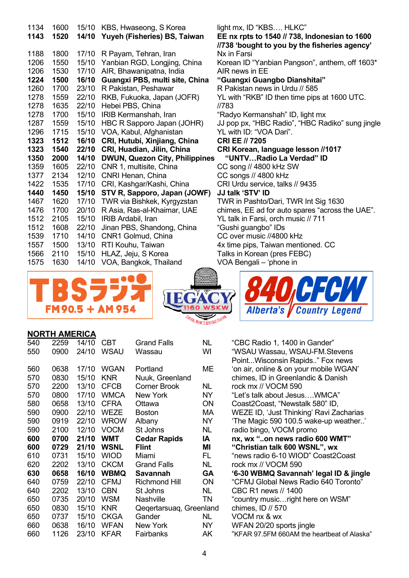| 1134         | 1600 |       | 15/10 KBS, Hwaseong, S Korea          | light mx, ID "KBS HLKC"                                |
|--------------|------|-------|---------------------------------------|--------------------------------------------------------|
| 1143         | 1520 |       | 14/10 Yuyeh (Fisheries) BS, Taiwan    | EE nx rpts to 1540 // 738, Indonesian to 1600          |
|              |      |       |                                       | //738 'bought to you by the fisheries agency'          |
| 1188         | 1800 |       | 17/10 R Payam, Tehran, Iran           | Nx in Farsi                                            |
| 1206         | 1550 | 15/10 | Yanbian RGD, Longjing, China          | Korean ID "Yanbian Pangson", anthem, off 1603*         |
| 1206         | 1530 | 17/10 | AIR, Bhawanipatna, India              | AIR news in EE                                         |
| 1224         | 1500 | 16/10 | Guangxi PBS, multi site, China        | "Guangxi Guangbo Dianshitai"                           |
| 1260         | 1700 | 23/10 | R Pakistan, Peshawar                  | R Pakistan news in Urdu // 585                         |
| 1278         | 1559 | 22/10 | RKB, Fukuoka, Japan (JOFR)            | YL with "RKB" ID then time pips at 1600 UTC.           |
| 1278         | 1635 | 22/10 | Hebei PBS, China                      | //783                                                  |
| 1278         | 1700 | 15/10 | IRIB Kermanshah, Iran                 | "Radyo Kermanshah" ID, light mx                        |
| 1287         | 1559 | 15/10 | HBC R Sapporo Japan (JOHR)            | JJ pop px, "HBC Radio", "HBC Radiko" sung jingle       |
| 1296         | 1715 |       | 15/10 VOA, Kabul, Afghanistan         | YL with ID: "VOA Dari".                                |
| 1323         | 1512 | 16/10 | CRI, Hutubi, Xinjiang, China          | <b>CRI EE // 7205</b>                                  |
|              |      |       |                                       |                                                        |
| 1323         | 1540 | 22/10 | CRI, Huadian, Jilin, China            | CRI Korean, language lesson //1017                     |
| 1350         | 2000 | 14/10 | <b>DWUN, Quezon City, Philippines</b> | "UNTVRadio La Verdad" ID                               |
| 1359         | 1605 | 22/10 | CNR 1, multisite, China               | CC song // 4800 kHz SW                                 |
| 1377         | 2134 | 12/10 | CNRI Henan, China                     | CC songs // 4800 kHz                                   |
| 1422         | 1535 | 17/10 | CRI, Kashgar/Kashi, China             | CRI Urdu service, talks // 9435                        |
| 1440         | 1450 |       | 15/10 STV R, Sapporo, Japan (JOWF)    | JJ talk 'STV' ID                                       |
| 1467         | 1620 | 17/10 | TWR via Bishkek, Kyrgyzstan           | TWR in Pashto/Dari, TWR Int Sig 1630                   |
| 1476         | 1700 | 20/10 | R Asia, Ras-al-Khaimar, UAE           | chimes, EE ad for auto spares "across the UAE".        |
| 1512         | 2105 | 15/10 | IRIB Ardabil, Iran                    | YL talk in Farsi, orch music // 711                    |
| 1512         | 1608 | 22/10 | Jinan PBS, Shandong, China            | "Gushi guangbo" IDs                                    |
| 1539         | 1710 | 14/10 | CNR1 Golmud, China                    | CC over music //4800 kHz                               |
| 1557         | 1500 | 13/10 | RTI Kouhu, Taiwan                     | 4x time pips, Taiwan mentioned. CC                     |
| 1566<br>1575 | 2110 | 15/10 | HLAZ, Jeju, S Korea                   | Talks in Korean (pres FEBC)<br>VOA Bengali - 'phone in |







### **NORTH AMERICA**

| 540 | 2259 | 14/10 | <b>CBT</b>  | <b>Grand Falls</b>      | NL        | "CBC Radio 1, 1400 in Gander"               |
|-----|------|-------|-------------|-------------------------|-----------|---------------------------------------------|
| 550 | 0900 | 24/10 | <b>WSAU</b> | Wassau                  | WI        | "WSAU Wassau, WSAU-FM.Stevens               |
|     |      |       |             |                         |           | PointWisconsin Rapids" Fox news             |
| 560 | 0638 | 17/10 | <b>WGAN</b> | Portland                | MЕ        | 'on air, online & on your mobile WGAN'      |
| 570 | 0830 | 15/10 | <b>KNR</b>  | Nuuk, Greenland         |           | chimes, ID in Greenlandic & Danish          |
| 570 | 2200 | 13/10 | <b>CFCB</b> | <b>Corner Brook</b>     | NL.       | rock mx // VOCM 590                         |
| 570 | 0800 | 17/10 | <b>WMCA</b> | <b>New York</b>         | NY        | "Let's talk about JesusWMCA"                |
| 580 | 0658 | 13/10 | <b>CFRA</b> | Ottawa                  | ON        | Coast2Coast, "Newstalk 580" ID,             |
| 590 | 0900 | 22/10 | <b>WEZE</b> | <b>Boston</b>           | МA        | WEZE ID, 'Just Thinking' Ravi Zacharias     |
| 590 | 0919 | 22/10 | <b>WROW</b> | Albany                  | NY        | 'The Magic 590 100.5 wake-up weather'       |
| 590 | 2100 | 12/10 | <b>VOCM</b> | St Johns                | NL.       | radio bingo, VOCM promo                     |
| 600 | 0700 | 21/10 | <b>WMT</b>  | <b>Cedar Rapids</b>     | ΙA        | nx, wx "on news radio 600 WMT"              |
|     |      |       |             |                         |           |                                             |
| 600 | 0729 | 21/10 | <b>WSNL</b> | <b>Flint</b>            | ΜI        | "Christian talk 600 WSNL", wx               |
| 610 | 0731 | 15/10 | <b>WIOD</b> | Miami                   | FL.       | "news radio 6-10 WIOD" Coast2Coast          |
| 620 | 2202 | 13/10 | <b>CKCM</b> | <b>Grand Falls</b>      | NL        | rock mx // VOCM 590                         |
| 630 | 0658 | 16/10 | <b>WBMQ</b> | <b>Savannah</b>         | GA        | '6-30 WBMQ Savannah' legal ID & jingle      |
| 640 | 0759 | 22/10 | <b>CFMJ</b> | <b>Richmond Hill</b>    | <b>ON</b> | "CFMJ Global News Radio 640 Toronto"        |
| 640 | 2202 | 13/10 | <b>CBN</b>  | St Johns                | NL.       | CBC R1 news // 1400                         |
| 650 | 0735 | 20/10 | <b>WSM</b>  | <b>Nashville</b>        | TN        | "country musicright here on WSM"            |
| 650 | 0830 | 15/10 | <b>KNR</b>  | Qegertarsuag, Greenland |           | chimes, ID // 570                           |
| 650 | 0737 | 15/10 | <b>CKGA</b> | Gander                  | NL        | VOCM nx & wx                                |
| 660 | 0638 | 16/10 | <b>WFAN</b> | New York                | NY.       | WFAN 20/20 sports jingle                    |
| 660 | 1126 | 23/10 | <b>KFAR</b> | Fairbanks               | AK        | "KFAR 97.5FM 660AM the heartbeat of Alaska" |

| "CBC Radio 1, 1400 in Gander"               |
|---------------------------------------------|
| "WSAU Wassau, WSAU-FM.Stevens               |
| PointWisconsin Rapids" Fox news             |
| 'on air, online & on your mobile WGAN'      |
| chimes, ID in Greenlandic & Danish          |
| rock mx // VOCM 590                         |
| "Let's talk about JesusWMCA"                |
| Coast2Coast, "Newstalk 580" ID,             |
| WEZE ID, 'Just Thinking' Ravi Zacharias     |
| 'The Magic 590 100.5 wake-up weather'       |
| radio bingo, VOCM promo                     |
| nx, wx "on news radio 600 WMT"              |
| "Christian talk 600 WSNL", wx               |
| "news radio 6-10 WIOD" Coast2Coast          |
| rock mx // VOCM 590                         |
| '6-30 WBMQ Savannah' legal ID & jingle      |
| "CFMJ Global News Radio 640 Toronto"        |
| CBC R1 news // 1400                         |
| "country musicright here on WSM"            |
| chimes, ID // 570                           |
| VOCM nx & wx                                |
| WFAN 20/20 sports jingle                    |
| "KFAR 97.5FM 660AM the heartbeat of Alaska" |
|                                             |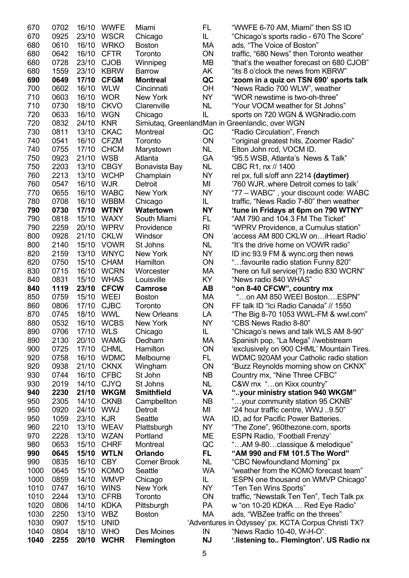| 950<br>950<br>960<br>970<br>980<br>990<br>990<br>1000<br>1000<br>1010<br>1010<br>1020<br>1030<br>1030<br>1040 | 1059<br>2210<br>2228<br>0653<br>0645<br>0835<br>0645<br>0859<br>0747<br>2244<br>0806<br>2250<br>0907<br>0804 | 23/10<br>13/10<br>13/10<br>15/10<br>15/10<br>16/10<br>15/10<br>14/10<br>16/10<br>13/10<br>14/10<br>13/10<br>15/10<br>18/10 | <b>KJR</b><br><b>WEAV</b><br><b>WZAN</b><br><b>CHRF</b><br><b>WTLN</b><br><b>CBY</b><br><b>KOMO</b><br><b>WMVP</b><br><b>WINS</b><br><b>CFRB</b><br><b>KDKA</b><br><b>WBZ</b><br><b>UNID</b><br><b>WHO</b> | Seattle<br>Plattsburgh<br>Portland<br>Montreal<br>Orlando<br><b>Corner Brook</b><br>Seattle<br>Chicago<br>New York<br>Toronto<br>Pittsburgh<br><b>Boston</b><br>Des Moines | <b>WA</b><br>NY<br>ME<br>QC<br>FL.<br><b>NL</b><br><b>WA</b><br>IL.<br>NY<br>ON<br>PA<br>MA<br>IN | ID, ad for Pacific Power Batteries.<br>"The Zone", 960thezone.com, sports<br><b>ESPN Radio, 'Football Frenzy'</b><br>"AM 9-80classique & melodique"<br>"AM 990 and FM 101.5 The Word"<br>"CBC Newfoundland Morning" px<br>"weather from the KOMO forecast team"<br>'ESPN one thousand on WMVP Chicago"<br>"Ten Ten Wins Sports"<br>traffic, "Newstalk Ten Ten", Tech Talk px<br>w "on 10-20 KDKA  Red Eye Radio"<br>ads, "WBZee traffic on the threes"<br>'Adventures in Odyssey' px. KCTA Corpus Christi TX?<br>"News Radio 10-40, W-H-O". |
|---------------------------------------------------------------------------------------------------------------|--------------------------------------------------------------------------------------------------------------|----------------------------------------------------------------------------------------------------------------------------|------------------------------------------------------------------------------------------------------------------------------------------------------------------------------------------------------------|----------------------------------------------------------------------------------------------------------------------------------------------------------------------------|---------------------------------------------------------------------------------------------------|---------------------------------------------------------------------------------------------------------------------------------------------------------------------------------------------------------------------------------------------------------------------------------------------------------------------------------------------------------------------------------------------------------------------------------------------------------------------------------------------------------------------------------------------|
|                                                                                                               |                                                                                                              |                                                                                                                            |                                                                                                                                                                                                            |                                                                                                                                                                            |                                                                                                   |                                                                                                                                                                                                                                                                                                                                                                                                                                                                                                                                             |
|                                                                                                               |                                                                                                              |                                                                                                                            |                                                                                                                                                                                                            |                                                                                                                                                                            |                                                                                                   |                                                                                                                                                                                                                                                                                                                                                                                                                                                                                                                                             |
|                                                                                                               |                                                                                                              |                                                                                                                            |                                                                                                                                                                                                            |                                                                                                                                                                            |                                                                                                   |                                                                                                                                                                                                                                                                                                                                                                                                                                                                                                                                             |
|                                                                                                               |                                                                                                              |                                                                                                                            |                                                                                                                                                                                                            |                                                                                                                                                                            |                                                                                                   |                                                                                                                                                                                                                                                                                                                                                                                                                                                                                                                                             |
|                                                                                                               |                                                                                                              |                                                                                                                            |                                                                                                                                                                                                            |                                                                                                                                                                            |                                                                                                   |                                                                                                                                                                                                                                                                                                                                                                                                                                                                                                                                             |
|                                                                                                               |                                                                                                              |                                                                                                                            |                                                                                                                                                                                                            |                                                                                                                                                                            |                                                                                                   |                                                                                                                                                                                                                                                                                                                                                                                                                                                                                                                                             |
|                                                                                                               |                                                                                                              |                                                                                                                            |                                                                                                                                                                                                            |                                                                                                                                                                            |                                                                                                   |                                                                                                                                                                                                                                                                                                                                                                                                                                                                                                                                             |
|                                                                                                               |                                                                                                              |                                                                                                                            |                                                                                                                                                                                                            |                                                                                                                                                                            |                                                                                                   |                                                                                                                                                                                                                                                                                                                                                                                                                                                                                                                                             |
|                                                                                                               |                                                                                                              |                                                                                                                            |                                                                                                                                                                                                            |                                                                                                                                                                            |                                                                                                   |                                                                                                                                                                                                                                                                                                                                                                                                                                                                                                                                             |
|                                                                                                               |                                                                                                              |                                                                                                                            |                                                                                                                                                                                                            |                                                                                                                                                                            |                                                                                                   |                                                                                                                                                                                                                                                                                                                                                                                                                                                                                                                                             |
|                                                                                                               |                                                                                                              |                                                                                                                            |                                                                                                                                                                                                            |                                                                                                                                                                            |                                                                                                   |                                                                                                                                                                                                                                                                                                                                                                                                                                                                                                                                             |
|                                                                                                               |                                                                                                              |                                                                                                                            |                                                                                                                                                                                                            |                                                                                                                                                                            |                                                                                                   |                                                                                                                                                                                                                                                                                                                                                                                                                                                                                                                                             |
|                                                                                                               |                                                                                                              |                                                                                                                            |                                                                                                                                                                                                            |                                                                                                                                                                            |                                                                                                   |                                                                                                                                                                                                                                                                                                                                                                                                                                                                                                                                             |
|                                                                                                               | 0920                                                                                                         | 24/10                                                                                                                      | <b>WWJ</b>                                                                                                                                                                                                 | Detroit                                                                                                                                                                    | MI                                                                                                | "24 hour traffic centre, WWJ 9.50"                                                                                                                                                                                                                                                                                                                                                                                                                                                                                                          |
| 950                                                                                                           | 2305                                                                                                         | 14/10                                                                                                                      | <b>CKNB</b>                                                                                                                                                                                                | Campbellton                                                                                                                                                                | <b>NB</b>                                                                                         | "your community station 95 CKNB"                                                                                                                                                                                                                                                                                                                                                                                                                                                                                                            |
| 940                                                                                                           | 2230                                                                                                         | 21/10                                                                                                                      | <b>WKGM</b>                                                                                                                                                                                                | <b>Smithfield</b>                                                                                                                                                          | VA                                                                                                | "your ministry station 940 WKGM"                                                                                                                                                                                                                                                                                                                                                                                                                                                                                                            |
| 930                                                                                                           | 2019                                                                                                         | 14/10                                                                                                                      | <b>CJYQ</b>                                                                                                                                                                                                | St Johns                                                                                                                                                                   | <b>NL</b>                                                                                         | C&W mx "on Kixx country"                                                                                                                                                                                                                                                                                                                                                                                                                                                                                                                    |
| 930                                                                                                           | 0744                                                                                                         | 16/10                                                                                                                      | <b>CFBC</b>                                                                                                                                                                                                | St John                                                                                                                                                                    | <b>NB</b>                                                                                         | Country mx, "Nine Three CFBC"                                                                                                                                                                                                                                                                                                                                                                                                                                                                                                               |
| 920                                                                                                           | 0938                                                                                                         | 21/10                                                                                                                      | <b>CKNX</b>                                                                                                                                                                                                | Wingham                                                                                                                                                                    | ON                                                                                                | "Buzz Reynolds morning show on CKNX"                                                                                                                                                                                                                                                                                                                                                                                                                                                                                                        |
| 920                                                                                                           | 0758                                                                                                         | 16/10                                                                                                                      | <b>WDMC</b>                                                                                                                                                                                                | Melbourne                                                                                                                                                                  | FL.                                                                                               | WDMC 920AM your Catholic radio station                                                                                                                                                                                                                                                                                                                                                                                                                                                                                                      |
| 900                                                                                                           | 0725                                                                                                         | 17/10                                                                                                                      | <b>CHML</b>                                                                                                                                                                                                | Hamilton                                                                                                                                                                   | ON                                                                                                | 'exclusively on 900 CHML' Mountain Tires.                                                                                                                                                                                                                                                                                                                                                                                                                                                                                                   |
| 890                                                                                                           | 2130                                                                                                         | 20/10                                                                                                                      | <b>WAMG</b>                                                                                                                                                                                                | Dedham                                                                                                                                                                     | МA                                                                                                | Spanish pop, "La Mega" //webstream                                                                                                                                                                                                                                                                                                                                                                                                                                                                                                          |
| 890                                                                                                           | 0706                                                                                                         | 17/10 WLS                                                                                                                  |                                                                                                                                                                                                            | Chicago                                                                                                                                                                    | IL                                                                                                | "Chicago's news and talk WLS AM 8-90"                                                                                                                                                                                                                                                                                                                                                                                                                                                                                                       |
| 880                                                                                                           | 0532                                                                                                         |                                                                                                                            | 16/10 WCBS                                                                                                                                                                                                 | New York                                                                                                                                                                   | <b>NY</b>                                                                                         | "CBS News Radio 8-80"                                                                                                                                                                                                                                                                                                                                                                                                                                                                                                                       |
| 870                                                                                                           | 0745                                                                                                         | 18/10                                                                                                                      | <b>WWL</b>                                                                                                                                                                                                 | <b>New Orleans</b>                                                                                                                                                         | LA                                                                                                | "The Big 8-70 1053 WWL-FM & wwl.com"                                                                                                                                                                                                                                                                                                                                                                                                                                                                                                        |
|                                                                                                               |                                                                                                              |                                                                                                                            |                                                                                                                                                                                                            |                                                                                                                                                                            |                                                                                                   |                                                                                                                                                                                                                                                                                                                                                                                                                                                                                                                                             |
| 860                                                                                                           | 0806                                                                                                         | 17/10                                                                                                                      | <b>CJBC</b>                                                                                                                                                                                                | Toronto                                                                                                                                                                    | ON                                                                                                | FF talk ID "Ici Radio Canada" // 1550                                                                                                                                                                                                                                                                                                                                                                                                                                                                                                       |
| 850                                                                                                           | 0759                                                                                                         | 15/10                                                                                                                      | WEEI                                                                                                                                                                                                       | <b>Boston</b>                                                                                                                                                              | МA                                                                                                | "on AM 850 WEEI BostonESPN"                                                                                                                                                                                                                                                                                                                                                                                                                                                                                                                 |
| 840                                                                                                           | 1119                                                                                                         | 23/10                                                                                                                      | <b>CFCW</b>                                                                                                                                                                                                | <b>Camrose</b>                                                                                                                                                             | AВ                                                                                                | "on 8-40 CFCW", country mx                                                                                                                                                                                                                                                                                                                                                                                                                                                                                                                  |
| 840                                                                                                           | 0831                                                                                                         | 15/10                                                                                                                      | <b>WHAS</b>                                                                                                                                                                                                | Louisville                                                                                                                                                                 | KY                                                                                                | "News radio 840 WHAS"                                                                                                                                                                                                                                                                                                                                                                                                                                                                                                                       |
| 830                                                                                                           | 0715                                                                                                         | 16/10                                                                                                                      | <b>WCRN</b>                                                                                                                                                                                                | Worcester                                                                                                                                                                  | МA                                                                                                | "here on full service(?) radio 830 WCRN"                                                                                                                                                                                                                                                                                                                                                                                                                                                                                                    |
| 820                                                                                                           | 0750                                                                                                         | 15/10                                                                                                                      | <b>CHAM</b>                                                                                                                                                                                                | Hamilton                                                                                                                                                                   | ON                                                                                                | "favourite radio station Funny 820"                                                                                                                                                                                                                                                                                                                                                                                                                                                                                                         |
| 820                                                                                                           | 2159                                                                                                         | 13/10                                                                                                                      | <b>WNYC</b>                                                                                                                                                                                                | New York                                                                                                                                                                   | <b>NY</b>                                                                                         | ID inc 93.9 FM & wync.org then news                                                                                                                                                                                                                                                                                                                                                                                                                                                                                                         |
| 800                                                                                                           | 2140                                                                                                         | 15/10                                                                                                                      | <b>VOWR</b>                                                                                                                                                                                                | St Johns                                                                                                                                                                   | <b>NL</b>                                                                                         | "It's the drive home on VOWR radio"                                                                                                                                                                                                                                                                                                                                                                                                                                                                                                         |
| 800                                                                                                           | 0928                                                                                                         | 21/10                                                                                                                      | <b>CKLW</b>                                                                                                                                                                                                | Windsor                                                                                                                                                                    | ON                                                                                                | 'access AM 800 CKLW on iHeart Radio'                                                                                                                                                                                                                                                                                                                                                                                                                                                                                                        |
| 790                                                                                                           | 2259                                                                                                         | 20/10                                                                                                                      | <b>WPRV</b>                                                                                                                                                                                                | Providence                                                                                                                                                                 | RI                                                                                                | "WPRV Providence, a Cumulus station"                                                                                                                                                                                                                                                                                                                                                                                                                                                                                                        |
| 790                                                                                                           | 0818                                                                                                         | 15/10                                                                                                                      | <b>WAXY</b>                                                                                                                                                                                                | South Miami                                                                                                                                                                | FL                                                                                                | "AM 790 and 104.3 FM The Ticket"                                                                                                                                                                                                                                                                                                                                                                                                                                                                                                            |
| 790                                                                                                           | 0730                                                                                                         | 17/10                                                                                                                      | <b>WTNY</b>                                                                                                                                                                                                | Watertown                                                                                                                                                                  | <b>NY</b>                                                                                         | 'tune in Fridays at 6pm on 790 WTNY'                                                                                                                                                                                                                                                                                                                                                                                                                                                                                                        |
| 780                                                                                                           | 0708                                                                                                         | 16/10                                                                                                                      | <b>WBBM</b>                                                                                                                                                                                                | Chicago                                                                                                                                                                    | IL.                                                                                               | traffic, "News Radio 7-80" then weather                                                                                                                                                                                                                                                                                                                                                                                                                                                                                                     |
| 770                                                                                                           | 0655                                                                                                         | 16/10                                                                                                                      | <b>WABC</b>                                                                                                                                                                                                | New York                                                                                                                                                                   | NY                                                                                                | "77 – WABC", your discount code: WABC                                                                                                                                                                                                                                                                                                                                                                                                                                                                                                       |
| 760                                                                                                           | 0547                                                                                                         | 16/10                                                                                                                      | <b>WJR</b>                                                                                                                                                                                                 | Detroit                                                                                                                                                                    | MI                                                                                                | '760 WJR. where Detroit comes to talk'                                                                                                                                                                                                                                                                                                                                                                                                                                                                                                      |
| 760                                                                                                           | 2213                                                                                                         | 13/10                                                                                                                      | <b>WCHP</b>                                                                                                                                                                                                | Champlain                                                                                                                                                                  | <b>NY</b>                                                                                         | rel px, full s/off ann 2214 (daytimer)                                                                                                                                                                                                                                                                                                                                                                                                                                                                                                      |
| 750                                                                                                           | 2203                                                                                                         | 13/10                                                                                                                      | <b>CBGY</b>                                                                                                                                                                                                | Bonavista Bay                                                                                                                                                              | <b>NL</b>                                                                                         | CBC R1, nx // 1400                                                                                                                                                                                                                                                                                                                                                                                                                                                                                                                          |
| 750                                                                                                           | 0923                                                                                                         | 21/10                                                                                                                      | <b>WSB</b>                                                                                                                                                                                                 | Atlanta                                                                                                                                                                    | GA                                                                                                | "95.5 WSB, Atlanta's News & Talk"                                                                                                                                                                                                                                                                                                                                                                                                                                                                                                           |
| 740                                                                                                           | 0755                                                                                                         | 17/10                                                                                                                      | <b>CHCM</b>                                                                                                                                                                                                | Marystown                                                                                                                                                                  | NL                                                                                                | Elton John rcd, VOCM ID.                                                                                                                                                                                                                                                                                                                                                                                                                                                                                                                    |
| 740                                                                                                           | 0541                                                                                                         | 16/10                                                                                                                      | <b>CFZM</b>                                                                                                                                                                                                | Toronto                                                                                                                                                                    | ON                                                                                                | "'original greatest hits, Zoomer Radio"                                                                                                                                                                                                                                                                                                                                                                                                                                                                                                     |
| 730                                                                                                           | 0811                                                                                                         | 13/10                                                                                                                      | <b>CKAC</b>                                                                                                                                                                                                | Montreal                                                                                                                                                                   | QC                                                                                                | "Radio Circulation", French                                                                                                                                                                                                                                                                                                                                                                                                                                                                                                                 |
| 720                                                                                                           | 0832                                                                                                         | 24/10                                                                                                                      | <b>KNR</b>                                                                                                                                                                                                 |                                                                                                                                                                            |                                                                                                   | Simiutaq, GreenlandMan in Greenlandic, over WGN                                                                                                                                                                                                                                                                                                                                                                                                                                                                                             |
| 720                                                                                                           | 0633                                                                                                         | 16/10                                                                                                                      | <b>WGN</b>                                                                                                                                                                                                 | Chicago                                                                                                                                                                    | IL                                                                                                | sports on 720 WGN & WGNradio.com                                                                                                                                                                                                                                                                                                                                                                                                                                                                                                            |
| 710                                                                                                           | 0730                                                                                                         | 18/10                                                                                                                      | <b>CKVO</b>                                                                                                                                                                                                | Clarenville                                                                                                                                                                | <b>NL</b>                                                                                         | "Your VOCM weather for St Johns"                                                                                                                                                                                                                                                                                                                                                                                                                                                                                                            |
| 710                                                                                                           | 0603                                                                                                         | 16/10                                                                                                                      | <b>WOR</b>                                                                                                                                                                                                 | New York                                                                                                                                                                   | <b>NY</b>                                                                                         | "WOR newstime is two-oh-three"                                                                                                                                                                                                                                                                                                                                                                                                                                                                                                              |
| 700                                                                                                           | 0602                                                                                                         | 16/10                                                                                                                      | <b>WLW</b>                                                                                                                                                                                                 | Cincinnati                                                                                                                                                                 | OH                                                                                                | "News Radio 700 WLW", weather                                                                                                                                                                                                                                                                                                                                                                                                                                                                                                               |
| 690                                                                                                           | 0649                                                                                                         | 17/10                                                                                                                      | <b>CFGM</b>                                                                                                                                                                                                | <b>Montreal</b>                                                                                                                                                            | QC                                                                                                | 'zoom in a quiz on TSN 690' sports talk                                                                                                                                                                                                                                                                                                                                                                                                                                                                                                     |
| 680                                                                                                           | 1559                                                                                                         | 23/10                                                                                                                      | <b>KBRW</b>                                                                                                                                                                                                | <b>Barrow</b>                                                                                                                                                              | AK                                                                                                | "its 8 o'clock the news from KBRW"                                                                                                                                                                                                                                                                                                                                                                                                                                                                                                          |
| 680                                                                                                           | 0728                                                                                                         | 23/10                                                                                                                      | <b>CJOB</b>                                                                                                                                                                                                | Winnipeg                                                                                                                                                                   | MВ                                                                                                | "that's the weather forecast on 680 CJOB"                                                                                                                                                                                                                                                                                                                                                                                                                                                                                                   |
| 680                                                                                                           | 0642                                                                                                         | 16/10                                                                                                                      | <b>CFTR</b>                                                                                                                                                                                                | Toronto                                                                                                                                                                    | ON                                                                                                | traffic, "680 News" then Toronto weather                                                                                                                                                                                                                                                                                                                                                                                                                                                                                                    |
| 680                                                                                                           | 0610                                                                                                         | 16/10                                                                                                                      | <b>WRKO</b>                                                                                                                                                                                                | <b>Boston</b>                                                                                                                                                              | МA                                                                                                | ads, "The Voice of Boston"                                                                                                                                                                                                                                                                                                                                                                                                                                                                                                                  |
|                                                                                                               | 0925                                                                                                         | 23/10                                                                                                                      | <b>WSCR</b>                                                                                                                                                                                                | Chicago                                                                                                                                                                    | IL.                                                                                               | "Chicago's sports radio - 670 The Score"                                                                                                                                                                                                                                                                                                                                                                                                                                                                                                    |
| 670<br>670                                                                                                    | 0702                                                                                                         | 16/10                                                                                                                      | <b>WWFE</b>                                                                                                                                                                                                | Miami                                                                                                                                                                      | FL                                                                                                | "WWFE 6-70 AM, Miami" then SS ID                                                                                                                                                                                                                                                                                                                                                                                                                                                                                                            |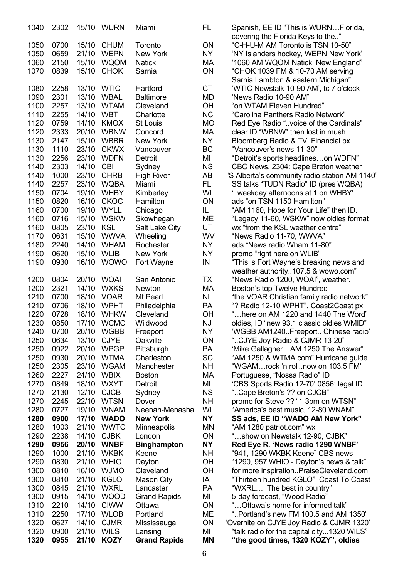| 1040 | 2302 |       | 15/10 WURN  | Miami               | FL.       | Spanish, EE ID "This is WURNFlorida,          |
|------|------|-------|-------------|---------------------|-----------|-----------------------------------------------|
|      |      |       |             |                     |           | covering the Florida Keys to the"             |
| 1050 | 0700 | 15/10 | <b>CHUM</b> | Toronto             | ON        | "C-H-U-M AM Toronto is TSN 10-50"             |
| 1050 | 0659 | 21/10 | <b>WEPN</b> | New York            | NY        | 'NY Islanders hockey, WEPN New York'          |
| 1060 | 2150 | 15/10 | WQOM        | <b>Natick</b>       |           | '1060 AM WQOM Natick, New England"            |
| 1070 | 0839 | 15/10 | <b>CHOK</b> | Sarnia              | МA<br>ON  | "CHOK 1039 FM & 10-70 AM serving              |
|      |      |       |             |                     |           | Sarnia Lambton & eastern Michigan"            |
| 1080 | 2258 | 13/10 | <b>WTIC</b> | Hartford            | <b>CT</b> | 'WTIC Newstalk 10-90 AM', tc 7 o'clock        |
| 1090 | 2301 | 13/10 | <b>WBAL</b> | <b>Baltimore</b>    | MD        | 'News Radio 10-90 AM"                         |
| 1100 | 2257 | 13/10 | <b>WTAM</b> | Cleveland           | OH        | "on WTAM Eleven Hundred"                      |
|      |      |       |             |                     |           |                                               |
| 1110 | 2255 | 14/10 | <b>WBT</b>  | Charlotte           | <b>NC</b> | "Carolina Panthers Radio Network"             |
| 1120 | 0759 | 14/10 | <b>KMOX</b> | St Louis            | <b>MO</b> | Red Eye Radio "voice of the Cardinals"        |
| 1120 | 2333 | 20/10 | <b>WBNW</b> | Concord             | МA        | clear ID "WBNW" then lost in mush             |
| 1130 | 2147 | 15/10 | <b>WBBR</b> | New York            | <b>NY</b> | Bloomberg Radio & TV. Financial px.           |
| 1130 | 1110 | 23/10 | <b>CKWX</b> | Vancouver           | BC        | "Vancouver's news 11-30"                      |
| 1130 | 2256 | 23/10 | <b>WDFN</b> | Detroit             | MI        | "Detroit's sports headlineson WDFN"           |
| 1140 | 2303 | 14/10 | <b>CBI</b>  | Sydney              | <b>NS</b> | CBC News, 2304: Cape Breton weather           |
| 1140 | 1000 | 23/10 | <b>CHRB</b> | <b>High River</b>   | AB        | "S Alberta's community radio station AM 1140" |
| 1140 | 2257 | 23/10 | <b>WQBA</b> | Miami               | FL.       | SS talks "TUDN Radio" ID (pres WQBA)          |
| 1150 | 0704 | 19/10 | <b>WHBY</b> | Kimberley           | WI        | "weekday afternoons at 1 on WHBY.             |
| 1150 | 0820 | 16/10 | <b>CKOC</b> | Hamilton            | <b>ON</b> | ads "on TSN 1150 Hamilton"                    |
| 1160 | 0700 | 19/10 | <b>WYLL</b> | Chicago             | IL        | "AM 1160, Hope for Your Life" then ID.        |
| 1160 | 0716 | 15/10 | <b>WSKW</b> | Skowhegan           | ME        | "Legacy 11-60, WSKW" now oldies format        |
| 1160 | 0805 | 23/10 | KSL         | Salt Lake City      | UT        | wx "from the KSL weather centre"              |
| 1170 | 0631 | 15/10 | <b>WWVA</b> | Wheeling            | WV        | "News Radio 11-70, WWVA"                      |
| 1180 | 2240 | 14/10 | <b>WHAM</b> | Rochester           | <b>NY</b> | ads "News radio Wham 11-80"                   |
| 1190 | 0620 | 15/10 | <b>WLIB</b> | New York            | NY        |                                               |
| 1190 | 0930 | 16/10 | <b>WOWO</b> |                     | IN        | promo "right here on WLIB"                    |
|      |      |       |             | Fort Wayne          |           | "This is Fort Wayne's breaking news and       |
|      |      |       |             |                     |           | weather authority107.5 & wowo.com"            |
| 1200 | 0804 | 20/10 | <b>WOAI</b> | San Antonio         | <b>TX</b> | "News Radio 1200, WOAI", weather.             |
| 1200 | 2321 | 14/10 | <b>WXKS</b> | Newton              | МA        | Boston's top Twelve Hundred                   |
| 1210 | 0700 | 18/10 | <b>VOAR</b> | Mt Pearl            | <b>NL</b> | "the VOAR Christian family radio network"     |
| 1210 | 0706 | 18/10 | <b>WPHT</b> | Philadelphia        | PA        | "? Radio 12-10 WPHT", Coast2Coast px.         |
| 1220 | 0728 | 18/10 | <b>WHKW</b> | Cleveland           | OH        | "here on AM 1220 and 1440 The Word"           |
| 1230 | 0850 |       | 17/10 WCMC  | Wildwood            | <b>NJ</b> | oldies, ID "new 93.1 classic oldies WMID"     |
| 1240 | 0700 |       | 20/10 WGBB  | Freeport            | <b>NY</b> | 'WGBB AM1240Freeport Chinese radio'           |
| 1250 | 0634 | 13/10 | <b>CJYE</b> | Oakville            | ON        | "CJYE Joy Radio & CJMR 13-20"                 |
| 1250 | 0922 | 20/10 | <b>WPGP</b> | Pittsburgh          | PA        | 'Mike GallagherAM 1250 The Answer"            |
| 1250 | 0930 | 20/10 | <b>WTMA</b> | Charleston          | <b>SC</b> | "AM 1250 & WTMA.com" Hurricane guide          |
| 1250 | 2305 | 23/10 | <b>WGAM</b> | Manchester          | <b>NH</b> | "WGAMrock 'n rollnow on 103.5 FM'             |
| 1260 | 2227 | 24/10 | <b>WBIX</b> | <b>Boston</b>       | МA        | Portuguese, "Nossa Radio" ID                  |
| 1270 | 0849 | 18/10 | <b>WXYT</b> | Detroit             | MI        | 'CBS Sports Radio 12-70' 0856: legal ID       |
| 1270 | 2130 | 12/10 | <b>CJCB</b> | Sydney              | <b>NS</b> | "Cape Breton's ?? on CJCB"                    |
| 1270 | 2245 | 22/10 | <b>WTSN</b> | Dover               | <b>NH</b> | promo for Steve ?? "1-3pm on WTSN"            |
| 1280 | 0727 | 19/10 | <b>WNAM</b> | Neenah-Menasha      | WI        | "America's best music, 12-80 WNAM"            |
| 1280 | 0900 | 17/10 | <b>WADO</b> | <b>New York</b>     | <b>NY</b> | SS ads, EE ID "WADO AM New York"              |
| 1280 | 1003 | 21/10 | <b>WWTC</b> | <b>Minneapolis</b>  | MN        | "AM 1280 patriot.com" wx                      |
| 1290 | 2238 | 14/10 | <b>CJBK</b> | London              | ON        | "show on Newstalk 12-90, CJBK"                |
| 1290 | 0956 | 20/10 | <b>WNBF</b> |                     | <b>NY</b> |                                               |
|      |      |       |             | <b>Binghampton</b>  |           | Red Eye R. 'News radio 1290 WNBF'             |
| 1290 | 1000 | 21/10 | <b>WKBK</b> | Keene               | <b>NH</b> | "941, 1290 WKBK Keene" CBS news               |
| 1290 | 0830 | 21/10 | <b>WHIO</b> | Dayton              | OH        | "1290, 957 WHIO - Dayton's news & talk"       |
| 1300 | 0810 | 16/10 | <b>WJMO</b> | Cleveland           | OH        | for more inspirationPraiseCleveland.com       |
| 1300 | 0810 | 21/10 | KGLO        | <b>Mason City</b>   | IA        | "Thirteen hundred KGLO", Coast To Coast       |
| 1300 | 0845 | 21/10 | <b>WXRL</b> | Lancaster           | PA        | "WXRL The best in country"                    |
| 1300 | 0915 | 14/10 | <b>WOOD</b> | <b>Grand Rapids</b> | MI        | 5-day forecast, "Wood Radio"                  |
| 1310 | 2210 | 14/10 | <b>CIWW</b> | Ottawa              | ON        | "Ottawa's home for informed talk"             |
| 1310 | 2250 | 17/10 | <b>WLOB</b> | Portland            | ME        | "Portland's new FM 100.5 and AM 1350"         |
| 1320 | 0627 | 14/10 | <b>CJMR</b> | Mississauga         | ON        | 'Overnite on CJYE Joy Radio & CJMR 1320'      |
| 1320 | 0900 | 21/10 | <b>WILS</b> | Lansing             | MI        | "talk radio for the capital city1320 WILS"    |
| 1320 | 0955 | 21/10 | <b>KOZY</b> | <b>Grand Rapids</b> | ΜN        | "the good times, 1320 KOZY", oldies           |
|      |      |       |             |                     |           |                                               |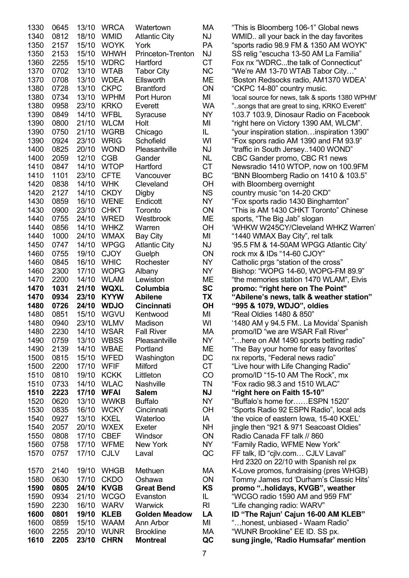|              | 0645         | 13/10          | <b>WRCA</b>                | Watertown                     | МA                     |
|--------------|--------------|----------------|----------------------------|-------------------------------|------------------------|
| 1340         | 0812         | 18/10          | <b>WMID</b>                | <b>Atlantic City</b>          | NJ                     |
| 1350         | 2157         | 15/10          | <b>WOYK</b>                | York                          | PA                     |
| 1350         | 2153         | 15/10          | <b>WHWH</b>                | Princeton-Trenton             | NJ                     |
| 1360         | 2255         | 15/10          | <b>WDRC</b>                | Hartford                      | <b>CT</b>              |
| 1370         | 0702         | 13/10          | <b>WTAB</b>                | <b>Tabor City</b>             | <b>NC</b>              |
| 1370         | 0708         | 13/10          | <b>WDEA</b>                | Ellsworth                     | <b>ME</b>              |
| 1380         | 0728         | 13/10          | <b>CKPC</b>                | <b>Brantford</b>              | ON                     |
| 1380         | 0734         | 13/10          | <b>WPHM</b><br><b>KRKO</b> | Port Huron                    | MI                     |
| 1380<br>1390 | 0958<br>0849 | 23/10<br>14/10 | <b>WFBL</b>                | Everett                       | <b>WA</b><br><b>NY</b> |
| 1390         | 0800         | 21/10          | <b>WLCM</b>                | Syracuse<br>Holt              | MI                     |
| 1390         | 0750         | 21/10          | <b>WGRB</b>                | Chicago                       | IL.                    |
| 1390         | 0924         | 23/10          | <b>WRIG</b>                | Schofield                     | WI                     |
| 1400         | 0825         | 20/10          | <b>WOND</b>                | Pleasantville                 | NJ                     |
| 1400         | 2059         | 12/10          | <b>CGB</b>                 | Gander                        | NL                     |
| 1410         | 0847         | 14/10          | <b>WTOP</b>                | Hartford                      | <b>CT</b>              |
| 1410         | 1101         | 23/10          | <b>CFTE</b>                | Vancouver                     | BC                     |
| 1420         | 0838         | 14/10          | <b>WHK</b>                 | Cleveland                     | OH                     |
| 1420         | 2127         | 14/10          | <b>CKDY</b>                | Digby                         | <b>NS</b>              |
| 1430         | 0859         | 16/10          | <b>WENE</b>                | Endicott                      | <b>NY</b>              |
| 1430         | 0900         | 23/10          | <b>CHKT</b>                | Toronto                       | ON                     |
| 1440         | 0755         | 24/10          | <b>WRED</b>                | Westbrook                     | ME                     |
| 1440         | 0856         | 14/10          | <b>WHKZ</b>                | Warren                        | OH                     |
| 1440         | 1000         | 24/10          | <b>WMAX</b>                | <b>Bay City</b>               | MI                     |
| 1450         | 0747         | 14/10          | <b>WPGG</b>                | <b>Atlantic City</b>          | NJ                     |
| 1460         | 0755         | 19/10          | <b>CJOY</b>                | Guelph                        | ON                     |
| 1460         | 0845         | 16/10          | <b>WHIC</b>                | Rochester                     | <b>NY</b>              |
| 1460         | 2300         | 17/10          | <b>WOPG</b>                | Albany                        | <b>NY</b>              |
| 1470         | 2200         | 14/10          | <b>WLAM</b>                | Lewiston                      | ME                     |
|              |              |                |                            |                               |                        |
| 1470         | 1031         | 21/10          | <b>WQXL</b>                | Columbia                      | <b>SC</b>              |
| 1470         | 0934         | 23/10          | <b>KYYW</b>                | <b>Abilene</b>                | <b>TX</b>              |
| 1480         | 0726         | 24/10          | <b>WDJO</b>                | <b>Cincinnati</b>             | OH                     |
| 1480         | 0851         | 15/10          | WGVU                       | Kentwood                      | MI                     |
| 1480         | 0940         | 23/10          | WLMV                       | Madison                       | WI                     |
| 1480         | 2230         | 14/10          | WSAR                       | <b>Fall River</b>             | МA                     |
| 1490         | 0759         | 13/10          | <b>WBSS</b>                | Pleasantville                 | NY                     |
| 1490         | 2139         | 14/10          | <b>WBAE</b>                | Portland                      | MЕ                     |
| 1500         | 0815         | 15/10          | <b>WFED</b>                | Washington                    | DC                     |
| 1500         | 2200         | 17/10          | <b>WFIF</b>                | Milford                       | <b>CT</b>              |
| 1510         | 0810         | 19/10          | <b>KCKK</b>                | Littleton                     | CO                     |
| 1510         | 0733         | 14/10          | <b>WLAC</b>                | <b>Nashville</b>              | <b>TN</b>              |
| 1510         | 2223         | 17/10          | <b>WFAI</b>                | <b>Salem</b>                  | <b>NJ</b>              |
| 1520         | 0620         | 13/10          | <b>WWKB</b>                | <b>Buffalo</b>                | <b>NY</b>              |
| 1530         | 0835         | 16/10          | <b>WCKY</b>                | Cincinnati                    | OH                     |
| 1540         | 0927         | 13/10          | <b>KXEL</b>                | Waterloo                      | IA                     |
| 1540         | 2057         | 20/10          | <b>WXEX</b>                | Exeter                        | <b>NH</b>              |
| 1550         | 0808         | 17/10          | <b>CBEF</b>                | Windsor                       | ON                     |
| 1560         | 0758         | 17/10          | <b>WFME</b>                | <b>New York</b>               | <b>NY</b>              |
| 1570         | 0757         | 17/10          | <b>CJLV</b>                | Laval                         | QC                     |
|              |              |                |                            |                               |                        |
| 1570         | 2140         | 19/10          | <b>WHGB</b>                | Methuen                       | МA                     |
| 1580         | 0630         | 17/10          | <b>CKDO</b>                | Oshawa                        | ON                     |
| 1590<br>1590 | 0805<br>0934 | 24/10<br>21/10 | <b>KVGB</b><br><b>WCGO</b> | <b>Great Bend</b><br>Evanston | <b>KS</b><br>IL        |
| 1590         | 2230         | 16/10          | <b>WARV</b>                | Warwick                       | RI                     |
| 1600         | 0801         | 19/10          | <b>KLEB</b>                | <b>Golden Meadow</b>          | LA                     |
| 1600         | 0859         | 15/10          | <b>WAAM</b>                | Ann Arbor                     | MI                     |
| 1600         | 2255         | 20/10          | <b>WUNR</b>                | <b>Brookline</b>              | МA                     |

"This is Bloomberg 106-1" Global news WMID.. all your back in the day favorites "sports radio 98.9 FM & 1350 AM WOYK" SS relig "escucha 13-50 AM La Familia" Fox nx "WDRC...the talk of Connecticut" "We're AM 13-70 WTAB Tabor City..." 'Boston Redsocks radio, AM1370 WDEA' "CKPC 14-80" country music. 'local source for news, talk & sports 1380 WPHM' "..songs that are great to sing, KRKO Everett" 103.7 103.9, Dinosaur Radio on Facebook "right here on Victory 1390 AM, WLCM". "your inspiration station...inspiration 1390" "Fox spors radio AM 1390 and FM 93.9" "traffic in South Jersey..1400 WOND" CBC Gander promo, CBC R1 news Newsradio 1410 WTOP, now on 100.9FM "BNN Bloomberg Radio on 1410 & 103.5" with Bloomberg overnight country music "on 14-20 CKD" "Fox sports radio 1430 Binghamton" "This is AM 1430 CHKT Toronto" Chinese sports, "The Big Jab" slogan 'WHKW W245CY/Cleveland WHKZ Warren' "1440 WMAX Bay City", rel talk 1450 0747 14/10 WPGG Atlantic City NJ '95.5 FM & 14-50AM WPGG Atlantic City' rock mx & IDs "14-60 CJOY" Catholic prgs "station of the cross" Bishop: "WOPG 14-60, WOPG-FM 89.9" "the memories station 1470 WLAM", Elvis **promo: "right here on The Point" 1470 0934 23/10 KYYW Abilene TX "Abilene's news, talk & weather station" 1480 0726 24/10 WDJO Cincinnati OH "995 & 1079, WDJO", oldies**  "Real Oldies 1480 & 850" '1480 AM y 94.5 FM.. La Movida' Spanish promo/ID "we are WSAR Fall River" 1... here on AM 1490 sports betting radio" 'The Bay your home for easy favorites' nx reports, "Federal news radio" "Live hour with Life Changing Radio" promo/ID "15-10 AM The Rock", mx "Fox radio 98.3 and 1510 WLAC" "right here on Faith 15-10" "Buffalo's home for……ESPN 1520" "Sports Radio 92 ESPN Radio", local ads 'the voice of eastern Iowa, 15-40 KXEL' iingle then "921 & 971 Seacoast Oldies" Radio Canada FF talk // 860 "Family Radio, WFME New York" FF talk, ID "cjlv.com... CJLV Laval" Hrd 2320 on 22/10 with Spanish rel px K-Love promos, fundraising (pres WHGB) Tommy James rcd 'Durham's Classic Hits' **1590 0805 24/10 KVGB Great Bend KS promo "..holidays, KVGB", weather**  "WCGO radio 1590 AM and 959 FM" "Life changing radio: WARV" **1D "The Rajun' Cajun 16-00 AM KLEB"** "...honest, unbiased - Waam Radio" "WUNR Brookline" EE ID. SS px. **1610 2205 23/10 CHRN Montreal QC sung jingle, 'Radio Humsafar' mention**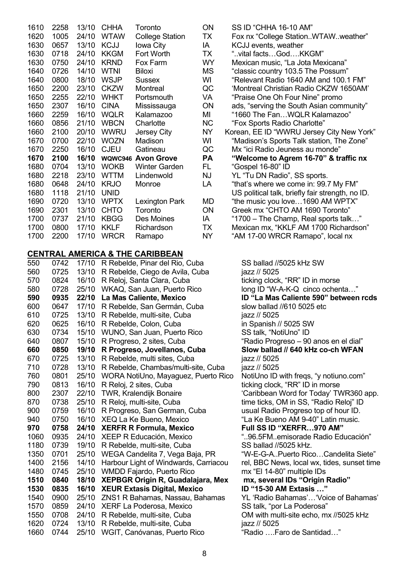| 1610 | 2258 | 13/10 | <b>CHHA</b> | Toronto                   | ON        | SS ID "CHHA 16-10 AM"                            |
|------|------|-------|-------------|---------------------------|-----------|--------------------------------------------------|
| 1620 | 1005 | 24/10 | <b>WTAW</b> | <b>College Station</b>    | TX        | Fox nx "College StationWTAWweather"              |
| 1630 | 0657 | 13/10 | <b>KCJJ</b> | Iowa City                 | IA        | KCJJ events, weather                             |
| 1630 | 0718 | 24/10 | <b>KKGM</b> | Fort Worth                | TX        | "vital facts…God….KKGM"                          |
| 1630 | 0750 | 24/10 | <b>KRND</b> | Fox Farm                  | WY        | Mexican music, "La Jota Mexicana"                |
| 1640 | 0726 | 14/10 | <b>WTNI</b> | <b>Biloxi</b>             | MS        | "classic country 103.5 The Possum"               |
| 1640 | 0800 | 18/10 | <b>WSJP</b> | Sussex                    | WI        | "Relevant Radio 1640 AM and 100.1 FM"            |
| 1650 | 2200 | 23/10 | <b>CKZW</b> | Montreal                  | QC        | 'Montreal Christian Radio CKZW 1650AM'           |
| 1650 | 2255 | 22/10 | <b>WHKT</b> | Portsmouth                | VA        | "Praise One Oh Four Nine" promo                  |
| 1650 | 2307 | 16/10 | <b>CINA</b> | Mississauga               | ON        | ads, "serving the South Asian community"         |
| 1660 | 2259 | 16/10 | <b>WQLR</b> | Kalamazoo                 | MI        | "1660 The FanWQLR Kalamazoo"                     |
| 1660 | 0856 | 21/10 | <b>WBCN</b> | Charlotte                 | <b>NC</b> | "Fox Sports Radio Charlotte"                     |
| 1660 | 2100 | 20/10 | <b>WWRU</b> | Jersey City               | <b>NY</b> | Korean, EE ID "WWRU Jersey City New York"        |
| 1670 | 0700 | 22/10 | <b>WOZN</b> | Madison                   | WI        | "Madison's Sports Talk station, The Zone"        |
| 1670 | 2250 | 16/10 | <b>CJEU</b> | Gatineau                  | QC        | Mx "ici Radio Jeuness au monde"                  |
| 1670 | 2100 | 16/10 |             | <b>WQWC946 Avon Grove</b> | <b>PA</b> | "Welcome to Agrem 16-70" & traffic nx            |
| 1680 | 0704 | 13/10 | <b>WOKB</b> | <b>Winter Garden</b>      | FL.       | "Gospel 16-80" ID                                |
| 1680 | 2218 | 23/10 | <b>WTTM</b> | Lindenwold                | <b>NJ</b> | YL "Tu DN Radio", SS sports.                     |
| 1680 | 0648 | 24/10 | <b>KRJO</b> | Monroe                    | LA        | "that's where we come in: 99.7 My FM"            |
| 1680 | 1118 | 21/10 | <b>UNID</b> |                           |           | US political talk, briefly fair strength, no ID. |
| 1690 | 0720 | 13/10 | <b>WPTX</b> | <b>Lexington Park</b>     | MD        | "the music you love1690 AM WPTX"                 |
| 1690 | 2301 | 13/10 | <b>CHTO</b> | Toronto                   | ON        | Greek mx "CHTO AM 1690 Toronto"                  |
| 1700 | 0737 | 21/10 | <b>KBGG</b> | Des Moines                | IA        | "1700 - The Champ, Real sports talk"             |
| 1700 | 0800 | 17/10 | <b>KKLF</b> | Richardson                | TX        | Mexican mx, "KKLF AM 1700 Richardson"            |
| 1700 | 2200 | 17/10 | <b>WRCR</b> | Ramapo                    | <b>NY</b> | "AM 17-00 WRCR Ramapo", local nx                 |
|      |      |       |             |                           |           |                                                  |

#### **CENTRAL AMERICA & THE CARIBBEAN**

| 550  | 0742 | 17/10 | R Rebelde, Pinar del Rio, Cuba           |
|------|------|-------|------------------------------------------|
| 560  | 0725 | 13/10 | R Rebelde, Ciego de Avila, Cuba          |
| 570  | 0824 | 16/10 | R Reloj, Santa Clara, Cuba               |
| 580  | 0728 | 25/10 | WKAQ, San Juan, Puerto Rico              |
| 590  | 0935 | 22/10 | La Mas Caliente, Mexico                  |
| 600  | 0647 | 17/10 | R Rebelde, San Germán, Cuba              |
| 610  | 0725 | 13/10 | R Rebelde, multi-site, Cuba              |
| 620  | 0625 | 16/10 | R Rebelde, Colon, Cuba                   |
| 630  | 0734 | 15/10 | WUNO, San Juan, Puerto Rico              |
| 640  | 0807 | 15/10 | R Progreso, 2 sites, Cuba                |
| 660  | 0850 | 19/10 | R Progreso, Jovellanos, Cuba             |
| 670  | 0725 | 13/10 | R Rebelde, multi sites, Cuba             |
| 710  | 0728 | 13/10 | R Rebelde, Chambas/multi-site, Cuba      |
| 760  | 0801 | 25/10 | WORA NotiUno, Mayaguez, Puerto Rio       |
| 790  | 0813 | 16/10 | R Reloj, 2 sites, Cuba                   |
| 800  | 2307 | 22/10 | <b>TWR, Kralendijk Bonaire</b>           |
| 870  | 0738 | 25/10 | R Reloj, multi-site, Cuba                |
| 900  | 0759 | 16/10 | R Progreso, San German, Cuba             |
| 940  | 0750 | 16/10 | <b>XEQ La Ke Bueno, Mexico</b>           |
| 970  | 0758 | 24/10 | <b>XERFR R Formula, Mexico</b>           |
| 1060 | 0935 | 24/10 | <b>XEEP R Educación, Mexico</b>          |
| 1180 | 0739 | 19/10 | R Rebelde, multi-site, Cuba              |
| 1350 | 0701 | 25/10 | WEGA Candelita 7, Vega Baja, PR          |
| 1400 | 2156 | 14/10 | Harbour Light of Windwards, Carriacou    |
| 1480 | 0745 | 25/10 | <b>WMDD Fajardo, Puerto Rico</b>         |
| 1510 | 0840 | 18/10 | <b>XEPBGR Origin R, Guadalajara, Mex</b> |
| 1530 | 0835 | 16/10 | <b>XEUR Extasis Digital, Mexico</b>      |
| 1540 | 0900 | 25/10 | ZNS1 R Bahamas, Nassau, Bahamas          |
| 1570 | 0859 | 24/10 | XERF La Poderosa, Mexico                 |
| 1550 | 0708 | 24/10 | R Rebelde, multi-site, Cuba              |
| 1620 | 0724 | 13/10 | R Rebelde, multi-site, Cuba              |
| 1660 | 0744 | 25/10 | WGIT, Canóvanas, Puerto Rico             |
|      |      |       |                                          |

| SS ID "CHHA 16-10 AM"                            |
|--------------------------------------------------|
| Fox nx "College StationWTAWweather"              |
| KCJJ events, weather                             |
| "vital factsGodKKGM"                             |
| Mexican music, "La Jota Mexicana"                |
| "classic country 103.5 The Possum"               |
| "Relevant Radio 1640 AM and 100.1 FM"            |
| 'Montreal Christian Radio CKZW 1650AM'           |
| "Praise One Oh Four Nine" promo                  |
| ads, "serving the South Asian community"         |
| "1660 The FanWQLR Kalamazoo"                     |
| "Fox Sports Radio Charlotte"                     |
| Korean, EE ID "WWRU Jersey City New York"        |
| "Madison's Sports Talk station, The Zone"        |
| Mx "ici Radio Jeuness au monde"                  |
| "Welcome to Agrem 16-70" & traffic nx            |
| "Gospel 16-80" ID                                |
| YL "Tu DN Radio", SS sports.                     |
| "that's where we come in: 99.7 My FM"            |
| US political talk, briefly fair strength, no ID. |
| "the music you love1690 AM WPTX"                 |
| Greek mx "CHTO AM 1690 Toronto"                  |
| "1700 - The Champ, Real sports talk"             |
| Mexican mx, "KKLF AM 1700 Richardson"            |
| "AM 17-00 WRCR Ramapo", local nx                 |

SS ballad //5025 kHz SW iazz // 5025 ticking clock, "RR" ID in morse long ID "W-A-K-Q cinco ochenta..." **590 0935 22/10 La Mas Caliente, Mexico ID "La Mas Caliente 590" between rcds**  slow ballad //610 5025 etc. iazz // 5025 in Spanish // 5025 SW SS talk, "NotiUno" ID "Radio Progreso – 90 anos en el dial" Slow ballad // 640 kHz co-ch WFAN iazz // 5025 iazz // 5025 <sup>2</sup> 260 080 0801 NotiUno ID with freqs, "y notiuno.com" ticking clock, "RR" ID in morse 'Caribbean Word for Today' TWR360 app. time ticks, OM in SS, "Radio Reloj" ID usual Radio Progreso top of hour ID. "La Ke Bueno AM 9-40" Latin music. **Full SS ID "XERFR...970 AM"** "..96.5FM..emisorade Radio Educación" SS ballad //5025 kHz. "W-E-G-A..Puerto Rico...Candelita Siete" rel, BBC News, local wx, tides, sunset time mx "El 14-80" multiple IDs **1513 mx, several IDs "Origin Radio" 1D "15-30 AM Extasis …"** YL 'Radio Bahamas'... 'Voice of Bahamas' SS talk, "por La Poderosa" 0M with multi-site echo, mx //5025 kHz iazz // 5025  $\cdot$ "Radio Earo de Santidad …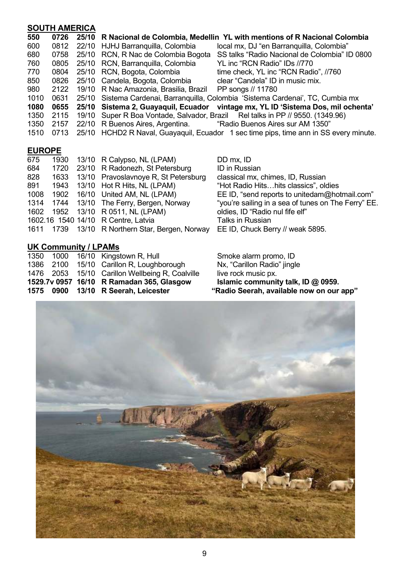### **SOUTH AMERICA**

| 550  | 0726 | 25/10 R Nacional de Colombia, Medellin YL with mentions of R Nacional Colombia        |
|------|------|---------------------------------------------------------------------------------------|
| 600  | 0812 | 22/10 HJHJ Barranquilla, Colombia<br>local mx, DJ "en Barranguilla, Colombia"         |
| 680  | 0758 | 25/10 RCN, R Nac de Colombia Bogota<br>SS talks "Radio Nacional de Colombia" ID 0800  |
| 760  |      | 0805 25/10 RCN, Barranguilla, Colombia<br>YL inc "RCN Radio" IDs //770                |
| 770  | 0804 | 25/10 RCN, Bogota, Colombia<br>time check, YL inc "RCN Radio", //760                  |
| 850  | 0826 | 25/10 Candela, Bogota, Colombia<br>clear "Candela" ID in music mix.                   |
| 980  | 2122 | 19/10 R Nac Amazonia, Brasilia, Brazil<br>PP songs // 11780                           |
| 1010 | 0631 | 25/10 Sistema Cardenai, Barranquilla, Colombia 'Sistema Cardenai', TC, Cumbia mx      |
| 1080 | 0655 | 25/10 Sistema 2, Guayaquil, Ecuador vintage mx, YL ID 'Sistema Dos, mil ochenta'      |
| 1350 | 2115 | 19/10 Super R Boa Vontade, Salvador, Brazil Rel talks in PP // 9550. (1349.96)        |
| 1350 |      | 2157 22/10 R Buenos Aires, Argentina. ""Radio Buenos Aires sur AM 1350"               |
| 1510 | 0713 | 25/10 HCHD2 R Naval, Guayaquil, Ecuador 1 sec time pips, time ann in SS every minute. |
|      |      |                                                                                       |

### **EUROPE**

| 675  |  | 1930 13/10 R Calypso, NL (LPAM)                 | DD mx, ID                                           |
|------|--|-------------------------------------------------|-----------------------------------------------------|
| 684  |  | 1720 23/10 R Radonezh, St Petersburg            | <b>ID</b> in Russian                                |
| 828  |  | 1633 13/10 Pravoslavnoye R, St Petersburg       | classical mx, chimes, ID, Russian                   |
| 891  |  | 1943 13/10 Hot R Hits, NL (LPAM)                | "Hot Radio Hitshits classics", oldies               |
| 1008 |  | 1902 16/10 United AM, NL (LPAM)                 | EE ID, "send reports to unitedam@hotmail.com"       |
|      |  | 1314 1744 13/10 The Ferry, Bergen, Norway       | "you're sailing in a sea of tunes on The Ferry" EE. |
|      |  | 1602 1952 13/10 R 0511, NL (LPAM)               | oldies, ID "Radio nul fife elf"                     |
|      |  | 1602.16 1540 14/10 R Centre, Latvia             | <b>Talks in Russian</b>                             |
|      |  | 1611 1739 13/10 R Northern Star, Bergen, Norway | EE ID, Chuck Berry // weak 5895.                    |
|      |  |                                                 |                                                     |

# **UK Community / LPAMs**

|  | 1476 2053 15/10 Carillon Wellbeing R, Coalville | live rock music px.                      |
|--|-------------------------------------------------|------------------------------------------|
|  | 1529.7v 0957 16/10 R Ramadan 365, Glasgow       | Islamic community talk, ID @ 0959.       |
|  | 1575 0900 13/10 R Seerah, Leicester             | "Radio Seerah, available now on our app" |
|  |                                                 |                                          |